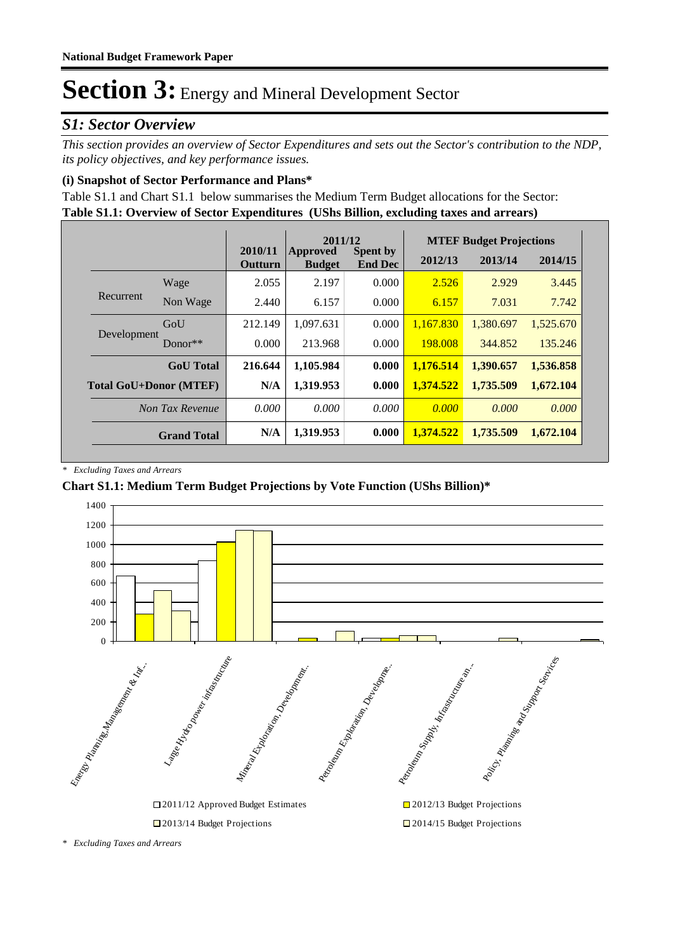### *S1: Sector Overview*

*This section provides an overview of Sector Expenditures and sets out the Sector's contribution to the NDP, its policy objectives, and key performance issues.* 

#### **(i) Snapshot of Sector Performance and Plans\***

**Table S1.1: Overview of Sector Expenditures (UShs Billion, excluding taxes and arrears)** Table S1.1 and Chart S1.1 below summarises the Medium Term Budget allocations for the Sector:

|                               |                    |                           | 2011/12                   |                                   |           | <b>MTEF Budget Projections</b> |           |
|-------------------------------|--------------------|---------------------------|---------------------------|-----------------------------------|-----------|--------------------------------|-----------|
|                               |                    | 2010/11<br><b>Outturn</b> | Approved<br><b>Budget</b> | <b>Spent by</b><br><b>End Dec</b> | 2012/13   | 2013/14                        | 2014/15   |
|                               | Wage               | 2.055                     | 2.197                     | 0.000                             | 2.526     | 2.929                          | 3.445     |
| Recurrent                     | Non Wage           | 2.440                     | 6.157                     | 0.000                             | 6.157     | 7.031                          | 7.742     |
| Development                   | GoU                | 212.149                   | 1.097.631                 | 0.000                             | 1.167.830 | 1,380.697                      | 1,525.670 |
|                               | $Donor**$          | 0.000                     | 213.968                   | 0.000                             | 198,008   | 344.852                        | 135,246   |
|                               | <b>GoU</b> Total   | 216.644                   | 1,105.984                 | 0.000                             | 1,176.514 | 1,390.657                      | 1,536.858 |
| <b>Total GoU+Donor (MTEF)</b> |                    | N/A                       | 1,319.953                 | 0.000                             | 1,374.522 | 1,735.509                      | 1,672.104 |
|                               | Non Tax Revenue    | 0.000                     | 0.000                     | 0.000                             | 0.000     | 0.000                          | 0.000     |
|                               | <b>Grand Total</b> | N/A                       | 1,319.953                 | 0.000                             | 1.374.522 | 1,735.509                      | 1,672.104 |

*\* Excluding Taxes and Arrears*

#### **Chart S1.1: Medium Term Budget Projections by Vote Function (UShs Billion)\***



*<sup>\*</sup> Excluding Taxes and Arrears*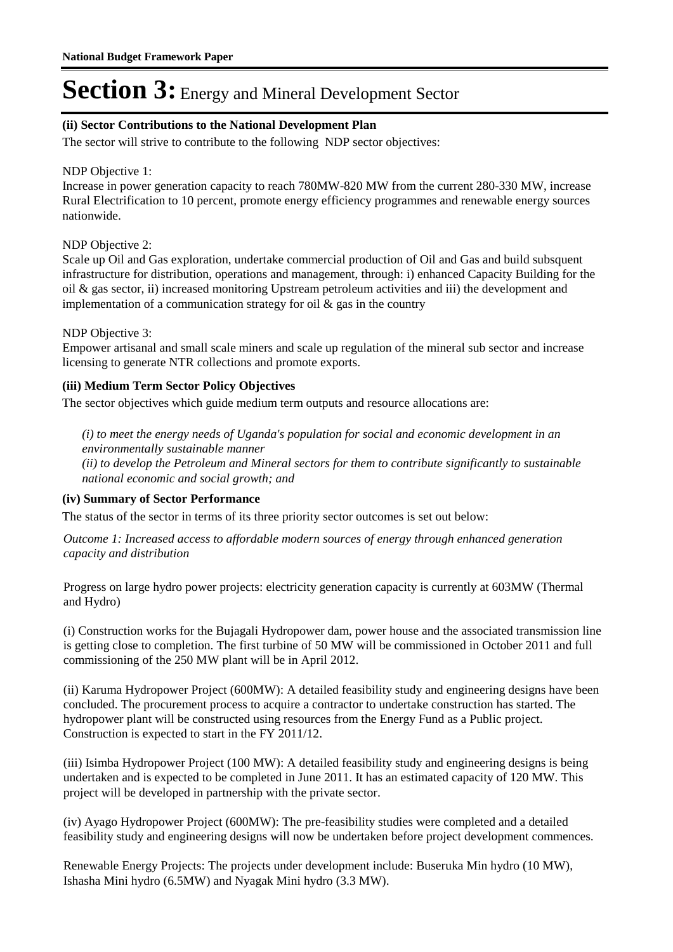#### **(ii) Sector Contributions to the National Development Plan**

The sector will strive to contribute to the following NDP sector objectives:

#### NDP Objective 1:

Increase in power generation capacity to reach 780MW-820 MW from the current 280-330 MW, increase Rural Electrification to 10 percent, promote energy efficiency programmes and renewable energy sources nationwide.

#### NDP Objective 2:

Scale up Oil and Gas exploration, undertake commercial production of Oil and Gas and build subsquent infrastructure for distribution, operations and management, through: i) enhanced Capacity Building for the oil & gas sector, ii) increased monitoring Upstream petroleum activities and iii) the development and implementation of a communication strategy for oil  $\&$  gas in the country

#### NDP Objective 3:

Empower artisanal and small scale miners and scale up regulation of the mineral sub sector and increase licensing to generate NTR collections and promote exports.

#### **(iii) Medium Term Sector Policy Objectives**

The sector objectives which guide medium term outputs and resource allocations are:

*(i) to meet the energy needs of Uganda's population for social and economic development in an environmentally sustainable manner*

*(ii) to develop the Petroleum and Mineral sectors for them to contribute significantly to sustainable national economic and social growth; and*

#### **(iv) Summary of Sector Performance**

The status of the sector in terms of its three priority sector outcomes is set out below:

Outcome 1: Increased access to affordable modern sources of energy through enhanced generation *capacity and distribution*

Progress on large hydro power projects: electricity generation capacity is currently at 603MW (Thermal and Hydro)

(i) Construction works for the Bujagali Hydropower dam, power house and the associated transmission line is getting close to completion. The first turbine of 50 MW will be commissioned in October 2011 and full commissioning of the 250 MW plant will be in April 2012.

(ii) Karuma Hydropower Project (600MW): A detailed feasibility study and engineering designs have been concluded. The procurement process to acquire a contractor to undertake construction has started. The hydropower plant will be constructed using resources from the Energy Fund as a Public project. Construction is expected to start in the FY 2011/12.

(iii) Isimba Hydropower Project (100 MW): A detailed feasibility study and engineering designs is being undertaken and is expected to be completed in June 2011. It has an estimated capacity of 120 MW. This project will be developed in partnership with the private sector.

(iv) Ayago Hydropower Project (600MW): The pre-feasibility studies were completed and a detailed feasibility study and engineering designs will now be undertaken before project development commences.

Renewable Energy Projects: The projects under development include: Buseruka Min hydro (10 MW), Ishasha Mini hydro (6.5MW) and Nyagak Mini hydro (3.3 MW).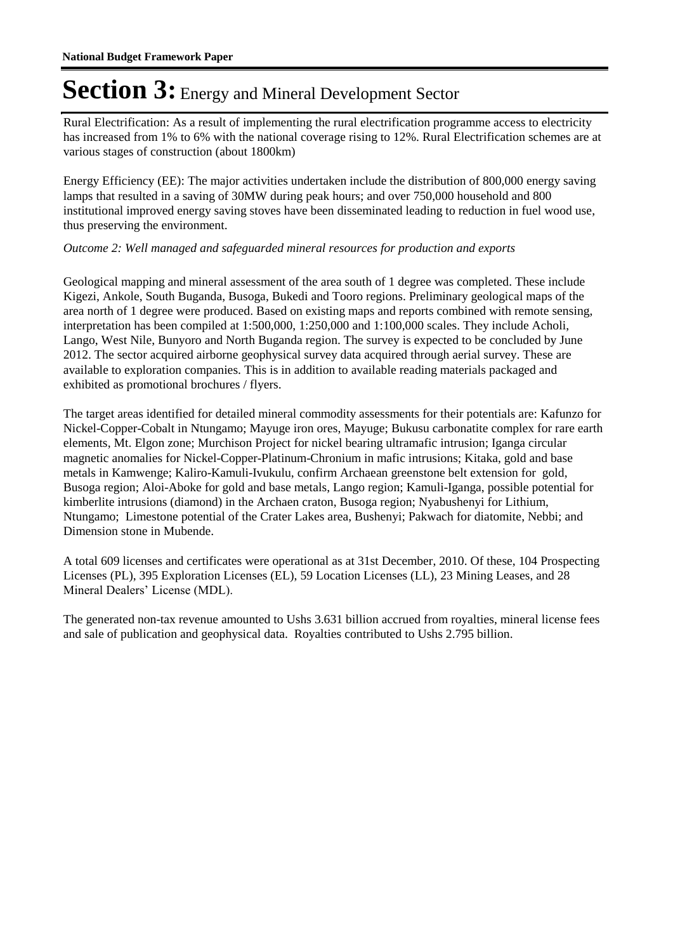Rural Electrification: As a result of implementing the rural electrification programme access to electricity has increased from 1% to 6% with the national coverage rising to 12%. Rural Electrification schemes are at various stages of construction (about 1800km)

Energy Efficiency (EE): The major activities undertaken include the distribution of 800,000 energy saving lamps that resulted in a saving of 30MW during peak hours; and over 750,000 household and 800 institutional improved energy saving stoves have been disseminated leading to reduction in fuel wood use, thus preserving the environment.

#### Outcome 2: Well managed and safeguarded mineral resources for production and exports

Geological mapping and mineral assessment of the area south of 1 degree was completed. These include Kigezi, Ankole, South Buganda, Busoga, Bukedi and Tooro regions. Preliminary geological maps of the area north of 1 degree were produced. Based on existing maps and reports combined with remote sensing, interpretation has been compiled at 1:500,000, 1:250,000 and 1:100,000 scales. They include Acholi, Lango, West Nile, Bunyoro and North Buganda region. The survey is expected to be concluded by June 2012. The sector acquired airborne geophysical survey data acquired through aerial survey. These are available to exploration companies. This is in addition to available reading materials packaged and exhibited as promotional brochures / flyers.

The target areas identified for detailed mineral commodity assessments for their potentials are: Kafunzo for Nickel-Copper-Cobalt in Ntungamo; Mayuge iron ores, Mayuge; Bukusu carbonatite complex for rare earth elements, Mt. Elgon zone; Murchison Project for nickel bearing ultramafic intrusion; Iganga circular magnetic anomalies for Nickel-Copper-Platinum-Chronium in mafic intrusions; Kitaka, gold and base metals in Kamwenge; Kaliro-Kamuli-Ivukulu, confirm Archaean greenstone belt extension for gold, Busoga region; Aloi-Aboke for gold and base metals, Lango region; Kamuli-Iganga, possible potential for kimberlite intrusions (diamond) in the Archaen craton, Busoga region; Nyabushenyi for Lithium, Ntungamo; Limestone potential of the Crater Lakes area, Bushenyi; Pakwach for diatomite, Nebbi; and Dimension stone in Mubende.

A total 609 licenses and certificates were operational as at 31st December, 2010. Of these, 104 Prospecting Licenses (PL), 395 Exploration Licenses (EL), 59 Location Licenses (LL), 23 Mining Leases, and 28 Mineral Dealers' License (MDL).

The generated non-tax revenue amounted to Ushs 3.631 billion accrued from royalties, mineral license fees and sale of publication and geophysical data. Royalties contributed to Ushs 2.795 billion.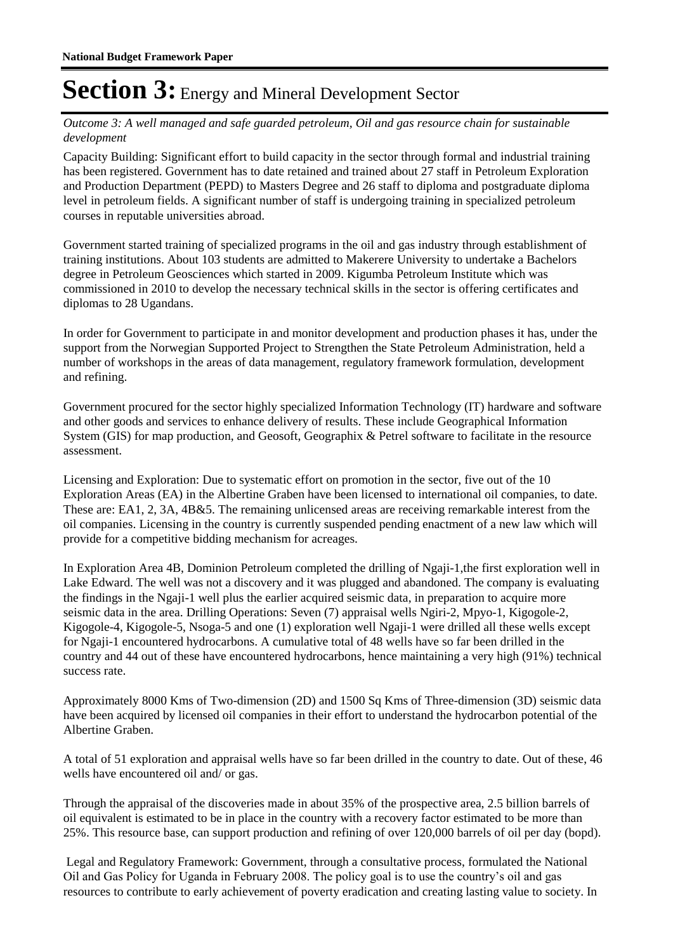#### Outcome 3: A well managed and safe guarded petroleum, Oil and gas resource chain for sustainable *development*

Capacity Building: Significant effort to build capacity in the sector through formal and industrial training has been registered. Government has to date retained and trained about 27 staff in Petroleum Exploration and Production Department (PEPD) to Masters Degree and 26 staff to diploma and postgraduate diploma level in petroleum fields. A significant number of staff is undergoing training in specialized petroleum courses in reputable universities abroad.

Government started training of specialized programs in the oil and gas industry through establishment of training institutions. About 103 students are admitted to Makerere University to undertake a Bachelors degree in Petroleum Geosciences which started in 2009. Kigumba Petroleum Institute which was commissioned in 2010 to develop the necessary technical skills in the sector is offering certificates and diplomas to 28 Ugandans.

In order for Government to participate in and monitor development and production phases it has, under the support from the Norwegian Supported Project to Strengthen the State Petroleum Administration, held a number of workshops in the areas of data management, regulatory framework formulation, development and refining.

Government procured for the sector highly specialized Information Technology (IT) hardware and software and other goods and services to enhance delivery of results. These include Geographical Information System (GIS) for map production, and Geosoft, Geographix & Petrel software to facilitate in the resource assessment.

Licensing and Exploration: Due to systematic effort on promotion in the sector, five out of the 10 Exploration Areas (EA) in the Albertine Graben have been licensed to international oil companies, to date. These are: EA1, 2, 3A, 4B&5. The remaining unlicensed areas are receiving remarkable interest from the oil companies. Licensing in the country is currently suspended pending enactment of a new law which will provide for a competitive bidding mechanism for acreages.

In Exploration Area 4B, Dominion Petroleum completed the drilling of Ngaji-1,the first exploration well in Lake Edward. The well was not a discovery and it was plugged and abandoned. The company is evaluating the findings in the Ngaji-1 well plus the earlier acquired seismic data, in preparation to acquire more seismic data in the area. Drilling Operations: Seven (7) appraisal wells Ngiri-2, Mpyo-1, Kigogole-2, Kigogole-4, Kigogole-5, Nsoga-5 and one (1) exploration well Ngaji-1 were drilled all these wells except for Ngaji-1 encountered hydrocarbons. A cumulative total of 48 wells have so far been drilled in the country and 44 out of these have encountered hydrocarbons, hence maintaining a very high (91%) technical success rate.

Approximately 8000 Kms of Two-dimension (2D) and 1500 Sq Kms of Three-dimension (3D) seismic data have been acquired by licensed oil companies in their effort to understand the hydrocarbon potential of the Albertine Graben.

A total of 51 exploration and appraisal wells have so far been drilled in the country to date. Out of these, 46 wells have encountered oil and/ or gas.

Through the appraisal of the discoveries made in about 35% of the prospective area, 2.5 billion barrels of oil equivalent is estimated to be in place in the country with a recovery factor estimated to be more than 25%. This resource base, can support production and refining of over 120,000 barrels of oil per day (bopd).

 Legal and Regulatory Framework: Government, through a consultative process, formulated the National Oil and Gas Policy for Uganda in February 2008. The policy goal is to use the country's oil and gas resources to contribute to early achievement of poverty eradication and creating lasting value to society. In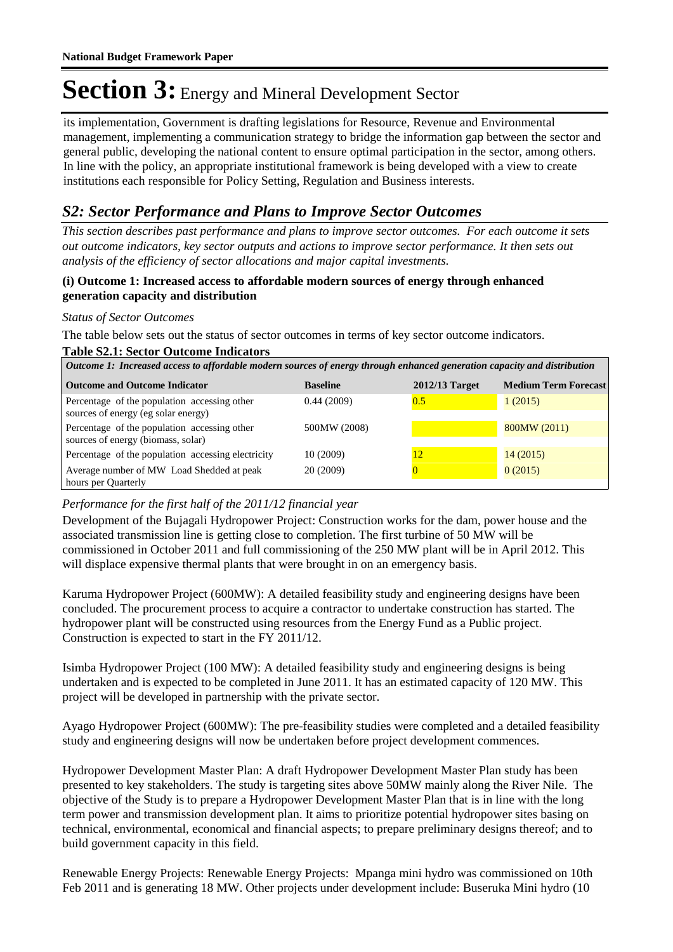its implementation, Government is drafting legislations for Resource, Revenue and Environmental management, implementing a communication strategy to bridge the information gap between the sector and general public, developing the national content to ensure optimal participation in the sector, among others. In line with the policy, an appropriate institutional framework is being developed with a view to create institutions each responsible for Policy Setting, Regulation and Business interests.

### *S2: Sector Performance and Plans to Improve Sector Outcomes*

*This section describes past performance and plans to improve sector outcomes. For each outcome it sets out outcome indicators, key sector outputs and actions to improve sector performance. It then sets out analysis of the efficiency of sector allocations and major capital investments.*

#### **(i) Outcome 1: Increased access to affordable modern sources of energy through enhanced generation capacity and distribution**

#### *Status of Sector Outcomes*

The table below sets out the status of sector outcomes in terms of key sector outcome indicators.

#### **Table S2.1: Sector Outcome Indicators**

*Outcome 1: Increased access to affordable modern sources of energy through enhanced generation capacity and distribution*

| <b>Outcome and Outcome Indicator</b>                                                | <b>Baseline</b> | 2012/13 Target | <b>Medium Term Forecast</b> |
|-------------------------------------------------------------------------------------|-----------------|----------------|-----------------------------|
| Percentage of the population accessing other<br>sources of energy (eg solar energy) | 0.44(2009)      | 0.5            | 1(2015)                     |
| Percentage of the population accessing other<br>sources of energy (biomass, solar)  | 500MW (2008)    |                | 800MW (2011)                |
| Percentage of the population accessing electricity                                  | 10(2009)        | 12             | 14(2015)                    |
| Average number of MW Load Shedded at peak<br>hours per Quarterly                    | 20 (2009)       |                | 0(2015)                     |

#### *Performance for the first half of the 2011/12 financial year*

Development of the Bujagali Hydropower Project: Construction works for the dam, power house and the associated transmission line is getting close to completion. The first turbine of 50 MW will be commissioned in October 2011 and full commissioning of the 250 MW plant will be in April 2012. This will displace expensive thermal plants that were brought in on an emergency basis.

Karuma Hydropower Project (600MW): A detailed feasibility study and engineering designs have been concluded. The procurement process to acquire a contractor to undertake construction has started. The hydropower plant will be constructed using resources from the Energy Fund as a Public project. Construction is expected to start in the FY 2011/12.

Isimba Hydropower Project (100 MW): A detailed feasibility study and engineering designs is being undertaken and is expected to be completed in June 2011. It has an estimated capacity of 120 MW. This project will be developed in partnership with the private sector.

Ayago Hydropower Project (600MW): The pre-feasibility studies were completed and a detailed feasibility study and engineering designs will now be undertaken before project development commences.

Hydropower Development Master Plan: A draft Hydropower Development Master Plan study has been presented to key stakeholders. The study is targeting sites above 50MW mainly along the River Nile. The objective of the Study is to prepare a Hydropower Development Master Plan that is in line with the long term power and transmission development plan. It aims to prioritize potential hydropower sites basing on technical, environmental, economical and financial aspects; to prepare preliminary designs thereof; and to build government capacity in this field.

Renewable Energy Projects: Renewable Energy Projects: Mpanga mini hydro was commissioned on 10th Feb 2011 and is generating 18 MW. Other projects under development include: Buseruka Mini hydro (10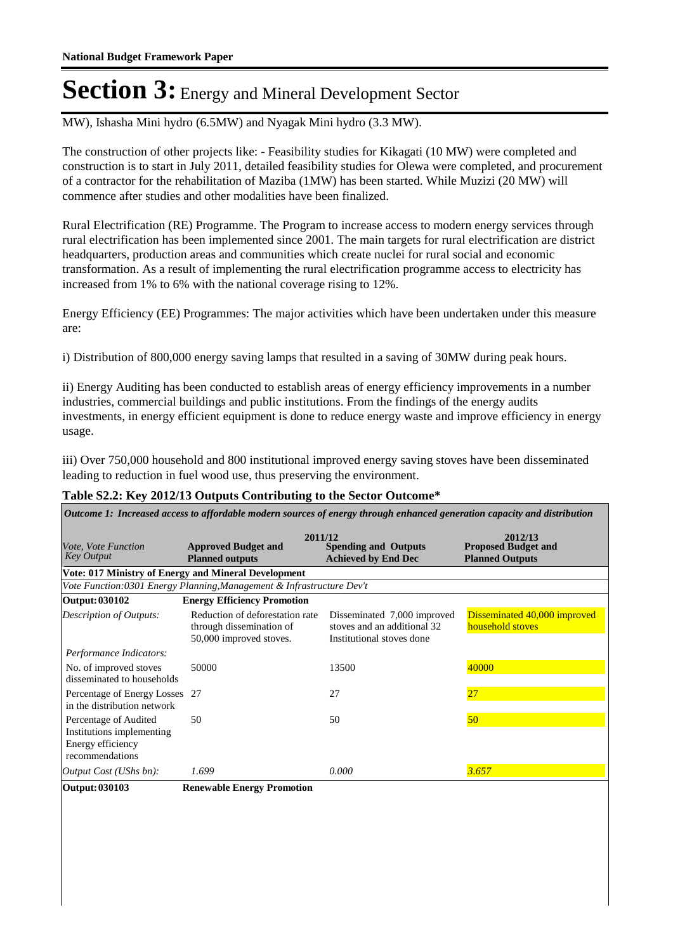MW), Ishasha Mini hydro (6.5MW) and Nyagak Mini hydro (3.3 MW).

The construction of other projects like: - Feasibility studies for Kikagati (10 MW) were completed and construction is to start in July 2011, detailed feasibility studies for Olewa were completed, and procurement of a contractor for the rehabilitation of Maziba (1MW) has been started. While Muzizi (20 MW) will commence after studies and other modalities have been finalized.

Rural Electrification (RE) Programme. The Program to increase access to modern energy services through rural electrification has been implemented since 2001. The main targets for rural electrification are district headquarters, production areas and communities which create nuclei for rural social and economic transformation. As a result of implementing the rural electrification programme access to electricity has increased from 1% to 6% with the national coverage rising to 12%.

Energy Efficiency (EE) Programmes: The major activities which have been undertaken under this measure are:

i) Distribution of 800,000 energy saving lamps that resulted in a saving of 30MW during peak hours.

ii) Energy Auditing has been conducted to establish areas of energy efficiency improvements in a number industries, commercial buildings and public institutions. From the findings of the energy audits investments, in energy efficient equipment is done to reduce energy waste and improve efficiency in energy usage.

iii) Over 750,000 household and 800 institutional improved energy saving stoves have been disseminated leading to reduction in fuel wood use, thus preserving the environment.

#### **Table S2.2: Key 2012/13 Outputs Contributing to the Sector Outcome\***

| Outcome 1: Increased access to affordable modern sources of energy through enhanced generation capacity and distribution |                                                                                        |                                                                                         |                                                                 |  |  |
|--------------------------------------------------------------------------------------------------------------------------|----------------------------------------------------------------------------------------|-----------------------------------------------------------------------------------------|-----------------------------------------------------------------|--|--|
| <i>Vote, Vote Function</i><br><b>Key Output</b>                                                                          | 2011/12<br><b>Approved Budget and</b><br><b>Planned outputs</b>                        | <b>Spending and Outputs</b><br><b>Achieved by End Dec</b>                               | 2012/13<br><b>Proposed Budget and</b><br><b>Planned Outputs</b> |  |  |
|                                                                                                                          | <b>Vote: 017 Ministry of Energy and Mineral Development</b>                            |                                                                                         |                                                                 |  |  |
|                                                                                                                          | Vote Function: 0301 Energy Planning, Management & Infrastructure Dev't                 |                                                                                         |                                                                 |  |  |
| Output: 030102                                                                                                           | <b>Energy Efficiency Promotion</b>                                                     |                                                                                         |                                                                 |  |  |
| <b>Description of Outputs:</b>                                                                                           | Reduction of deforestation rate<br>through dissemination of<br>50,000 improved stoves. | Disseminated 7,000 improved<br>stoves and an additional 32<br>Institutional stoves done | Disseminated 40,000 improved<br>household stoves                |  |  |
| Performance Indicators:                                                                                                  |                                                                                        |                                                                                         |                                                                 |  |  |
| No. of improved stoves<br>disseminated to households                                                                     | 50000                                                                                  | 13500                                                                                   | 40000                                                           |  |  |
| Percentage of Energy Losses<br>in the distribution network                                                               | 27                                                                                     | 27                                                                                      | 27                                                              |  |  |
| Percentage of Audited<br>Institutions implementing<br>Energy efficiency<br>recommendations                               | 50                                                                                     | 50                                                                                      | 50 <sup>°</sup>                                                 |  |  |
| <i>Output Cost (UShs bn):</i>                                                                                            | 1.699                                                                                  | 0.000                                                                                   | 3.657                                                           |  |  |
| Output: 030103                                                                                                           | <b>Renewable Energy Promotion</b>                                                      |                                                                                         |                                                                 |  |  |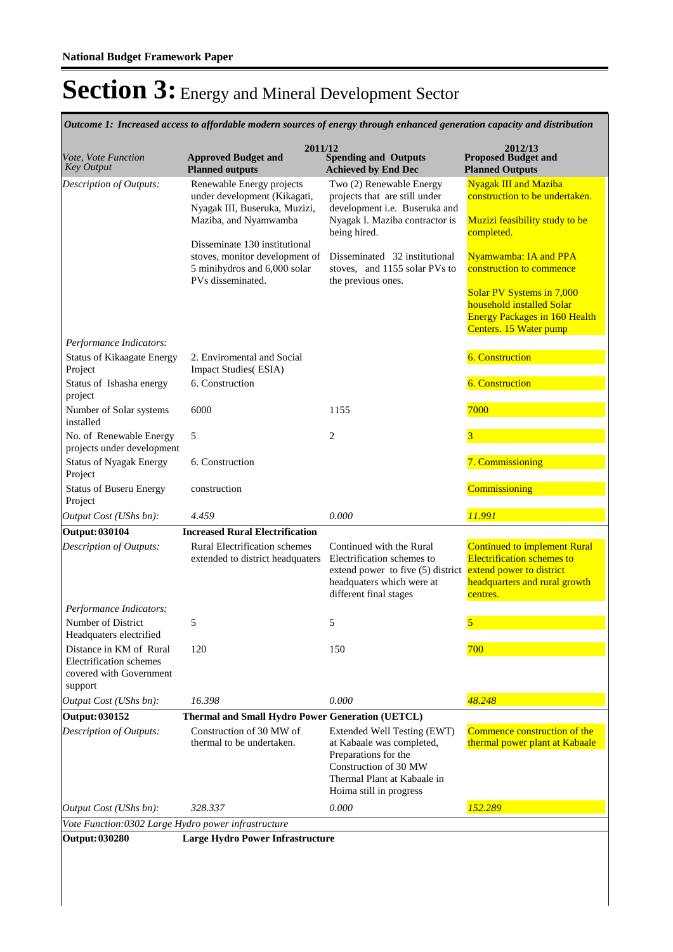| Outcome 1: Increased access to affordable modern sources of energy through enhanced generation capacity and distribution |                                                                                                                      |                                                                                                                                                                             |                                                                                                                                                                                             |  |
|--------------------------------------------------------------------------------------------------------------------------|----------------------------------------------------------------------------------------------------------------------|-----------------------------------------------------------------------------------------------------------------------------------------------------------------------------|---------------------------------------------------------------------------------------------------------------------------------------------------------------------------------------------|--|
| Vote, Vote Function<br><b>Key Output</b>                                                                                 | 2011/12<br><b>Approved Budget and</b><br><b>Planned outputs</b>                                                      | <b>Spending and Outputs</b><br><b>Achieved by End Dec</b>                                                                                                                   | 2012/13<br><b>Proposed Budget and</b><br><b>Planned Outputs</b>                                                                                                                             |  |
| Description of Outputs:                                                                                                  | Renewable Energy projects<br>under development (Kikagati,<br>Nyagak III, Buseruka, Muzizi,<br>Maziba, and Nyamwamba  | Two (2) Renewable Energy<br>projects that are still under<br>development i.e. Buseruka and<br>Nyagak I. Maziba contractor is<br>being hired.                                | <b>Nyagak III and Maziba</b><br>construction to be undertaken.<br>Muzizi feasibility study to be                                                                                            |  |
|                                                                                                                          | Disseminate 130 institutional<br>stoves, monitor development of<br>5 minihydros and 6,000 solar<br>PVs disseminated. | Disseminated 32 institutional<br>stoves, and 1155 solar PVs to<br>the previous ones.                                                                                        | completed.<br>Nyamwamba: IA and PPA<br>construction to commence<br>Solar PV Systems in 7,000<br>household installed Solar<br><b>Energy Packages in 160 Health</b><br>Centers. 15 Water pump |  |
| Performance Indicators:                                                                                                  |                                                                                                                      |                                                                                                                                                                             |                                                                                                                                                                                             |  |
| <b>Status of Kikaagate Energy</b><br>Project                                                                             | 2. Enviromental and Social<br><b>Impact Studies</b> (ESIA)                                                           |                                                                                                                                                                             | <b>6. Construction</b>                                                                                                                                                                      |  |
| Status of Ishasha energy<br>project                                                                                      | 6. Construction                                                                                                      |                                                                                                                                                                             | <b>6. Construction</b>                                                                                                                                                                      |  |
| Number of Solar systems<br>installed                                                                                     | 6000                                                                                                                 | 1155                                                                                                                                                                        | 7000                                                                                                                                                                                        |  |
| No. of Renewable Energy<br>projects under development                                                                    | 5                                                                                                                    | $\mathfrak{2}$                                                                                                                                                              | $\overline{\mathbf{3}}$                                                                                                                                                                     |  |
| <b>Status of Nyagak Energy</b><br>Project                                                                                | 6. Construction                                                                                                      |                                                                                                                                                                             | 7. Commissioning                                                                                                                                                                            |  |
| <b>Status of Buseru Energy</b><br>Project                                                                                | construction                                                                                                         |                                                                                                                                                                             | Commissioning                                                                                                                                                                               |  |
| Output Cost (UShs bn):                                                                                                   | 4.459                                                                                                                | 0.000                                                                                                                                                                       | 11.991                                                                                                                                                                                      |  |
| <b>Output: 030104</b>                                                                                                    | <b>Increased Rural Electrification</b>                                                                               |                                                                                                                                                                             |                                                                                                                                                                                             |  |
| Description of Outputs:                                                                                                  | <b>Rural Electrification schemes</b><br>extended to district headquaters                                             | Continued with the Rural<br>Electrification schemes to<br>extend power to five (5) district extend power to district<br>headquaters which were at<br>different final stages | <b>Continued to implement Rural</b><br><b>Electrification schemes to</b><br>headquarters and rural growth<br>centres.                                                                       |  |
| Performance Indicators:                                                                                                  |                                                                                                                      |                                                                                                                                                                             |                                                                                                                                                                                             |  |
| Number of District<br>Headquaters electrified                                                                            | 5                                                                                                                    | 5                                                                                                                                                                           | 5                                                                                                                                                                                           |  |
| Distance in KM of Rural<br>Electrification schemes<br>covered with Government<br>support                                 | 120                                                                                                                  | 150                                                                                                                                                                         | 700                                                                                                                                                                                         |  |
| Output Cost (UShs bn):                                                                                                   | 16.398                                                                                                               | 0.000                                                                                                                                                                       | 48.248                                                                                                                                                                                      |  |
| Output: 030152                                                                                                           | Thermal and Small Hydro Power Generation (UETCL)                                                                     |                                                                                                                                                                             |                                                                                                                                                                                             |  |
| Description of Outputs:                                                                                                  | Construction of 30 MW of<br>thermal to be undertaken.                                                                | Extended Well Testing (EWT)<br>at Kabaale was completed,<br>Preparations for the<br>Construction of 30 MW<br>Thermal Plant at Kabaale in<br>Hoima still in progress         | Commence construction of the<br>thermal power plant at Kabaale                                                                                                                              |  |
| Output Cost (UShs bn):                                                                                                   | 328.337                                                                                                              | 0.000                                                                                                                                                                       | 152.289                                                                                                                                                                                     |  |
| Vote Function:0302 Large Hydro power infrastructure                                                                      |                                                                                                                      |                                                                                                                                                                             |                                                                                                                                                                                             |  |
| <b>Output: 030280</b>                                                                                                    | Large Hydro Power Infrastructure                                                                                     |                                                                                                                                                                             |                                                                                                                                                                                             |  |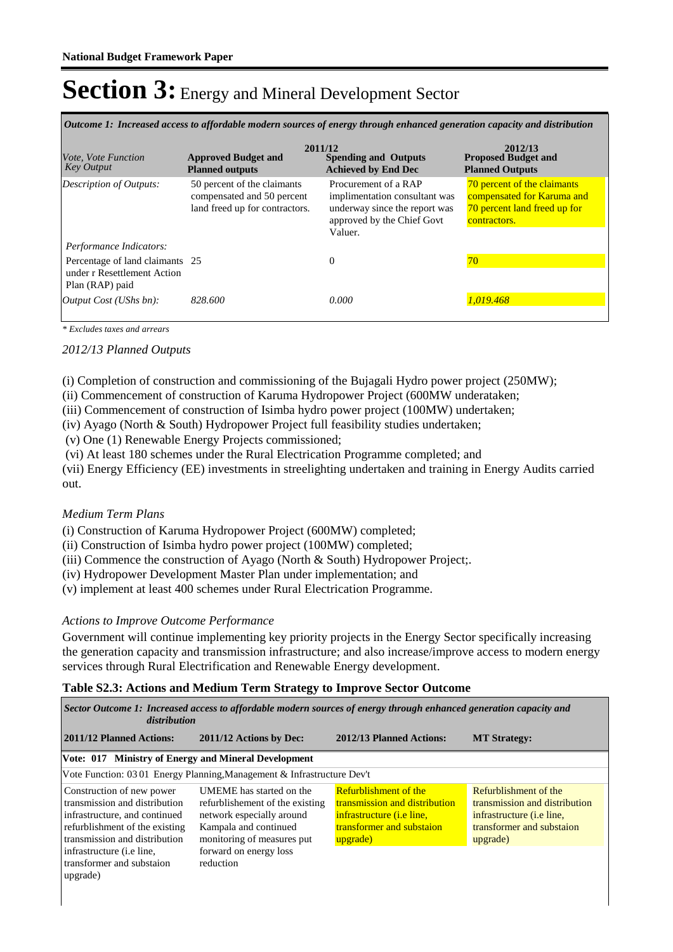*Outcome 1: Increased access to affordable modern sources of energy through enhanced generation capacity and distribution*

| <i>Vote, Vote Function</i><br><b>Key Output</b>                                                              | 2011/12<br><b>Approved Budget and</b><br><b>Planned outputs</b>                             | <b>Spending and Outputs</b><br><b>Achieved by End Dec</b>                                                                       | 2012/13<br><b>Proposed Budget and</b><br><b>Planned Outputs</b>                                           |
|--------------------------------------------------------------------------------------------------------------|---------------------------------------------------------------------------------------------|---------------------------------------------------------------------------------------------------------------------------------|-----------------------------------------------------------------------------------------------------------|
| Description of Outputs:                                                                                      | 50 percent of the claimants<br>compensated and 50 percent<br>land freed up for contractors. | Procurement of a RAP<br>implimentation consultant was<br>underway since the report was<br>approved by the Chief Govt<br>Valuer. | 70 percent of the claimants<br>compensated for Karuma and<br>70 percent land freed up for<br>contractors. |
| Performance Indicators:<br>Percentage of land claimants 25<br>under r Resettlement Action<br>Plan (RAP) paid |                                                                                             | $\Omega$                                                                                                                        | 70                                                                                                        |
| Output Cost (UShs bn):                                                                                       | 828.600                                                                                     | 0.000                                                                                                                           | 1.019.468                                                                                                 |

*\* Excludes taxes and arrears*

#### *2012/13 Planned Outputs*

(i) Completion of construction and commissioning of the Bujagali Hydro power project (250MW);

(ii) Commencement of construction of Karuma Hydropower Project (600MW underataken;

(iii) Commencement of construction of Isimba hydro power project (100MW) undertaken;

(iv) Ayago (North & South) Hydropower Project full feasibility studies undertaken;

(v) One (1) Renewable Energy Projects commissioned;

(vi) At least 180 schemes under the Rural Electrication Programme completed; and

(vii) Energy Efficiency (EE) investments in streelighting undertaken and training in Energy Audits carried out.

#### *Medium Term Plans*

(i) Construction of Karuma Hydropower Project (600MW) completed;

(ii) Construction of Isimba hydro power project (100MW) completed;

(iii) Commence the construction of Ayago (North & South) Hydropower Project;.

(iv) Hydropower Development Master Plan under implementation; and

(v) implement at least 400 schemes under Rural Electrication Programme.

#### *Actions to Improve Outcome Performance*

Government will continue implementing key priority projects in the Energy Sector specifically increasing the generation capacity and transmission infrastructure; and also increase/improve access to modern energy services through Rural Electrification and Renewable Energy development.

#### **Table S2.3: Actions and Medium Term Strategy to Improve Sector Outcome**

| Sector Outcome 1: Increased access to affordable modern sources of energy through enhanced generation capacity and<br>distribution                                                                                                            |                                                                                                                                                                                        |                                                                                                                                             |                                                                                                                                     |  |  |
|-----------------------------------------------------------------------------------------------------------------------------------------------------------------------------------------------------------------------------------------------|----------------------------------------------------------------------------------------------------------------------------------------------------------------------------------------|---------------------------------------------------------------------------------------------------------------------------------------------|-------------------------------------------------------------------------------------------------------------------------------------|--|--|
| 2011/12 Planned Actions:                                                                                                                                                                                                                      | 2011/12 Actions by Dec:                                                                                                                                                                | 2012/13 Planned Actions:                                                                                                                    | <b>MT Strategy:</b>                                                                                                                 |  |  |
| Vote: 017 Ministry of Energy and Mineral Development                                                                                                                                                                                          |                                                                                                                                                                                        |                                                                                                                                             |                                                                                                                                     |  |  |
|                                                                                                                                                                                                                                               | Vote Function: 03 01 Energy Planning, Management & Infrastructure Dev't                                                                                                                |                                                                                                                                             |                                                                                                                                     |  |  |
| Construction of new power<br>transmission and distribution<br>infrastructure, and continued<br>refurblishment of the existing<br>transmission and distribution<br>infrastructure ( <i>i.e line</i> ,<br>transformer and substaion<br>upgrade) | UMEME has started on the<br>refurblishement of the existing<br>network especially around<br>Kampala and continued<br>monitoring of measures put<br>forward on energy loss<br>reduction | <b>Refurblishment of the</b><br>transmission and distribution<br>infrastructure <i>(i.e line,</i><br>transformer and substation<br>upgrade) | Refurblishment of the<br>transmission and distribution<br>infrastructure <i>(i.e line,</i><br>transformer and substaion<br>upgrade) |  |  |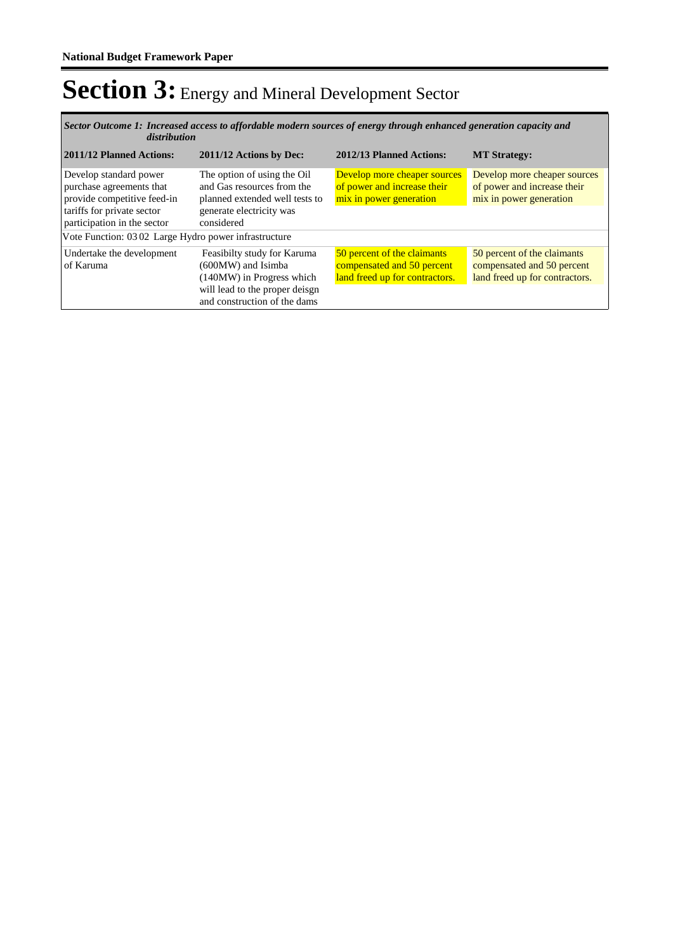*Increased access to affordable modern sources of energy through enhanced generation capacity and Sector Outcome 1: distribution*

| 2011/12 Planned Actions:                                                                                                                       | 2011/12 Actions by Dec:                                                                                                                          | 2012/13 Planned Actions:                                                                    | <b>MT Strategy:</b>                                                                         |
|------------------------------------------------------------------------------------------------------------------------------------------------|--------------------------------------------------------------------------------------------------------------------------------------------------|---------------------------------------------------------------------------------------------|---------------------------------------------------------------------------------------------|
| Develop standard power<br>purchase agreements that<br>provide competitive feed-in<br>tariffs for private sector<br>participation in the sector | The option of using the Oil<br>and Gas resources from the<br>planned extended well tests to<br>generate electricity was<br>considered            | Develop more cheaper sources<br>of power and increase their<br>mix in power generation      | Develop more cheaper sources<br>of power and increase their<br>mix in power generation      |
| Vote Function: 0302 Large Hydro power infrastructure                                                                                           |                                                                                                                                                  |                                                                                             |                                                                                             |
| Undertake the development<br>of Karuma                                                                                                         | Feasibilty study for Karuma<br>(600MW) and Isimba<br>(140MW) in Progress which<br>will lead to the proper deisgn<br>and construction of the dams | 50 percent of the claimants<br>compensated and 50 percent<br>land freed up for contractors. | 50 percent of the claimants<br>compensated and 50 percent<br>land freed up for contractors. |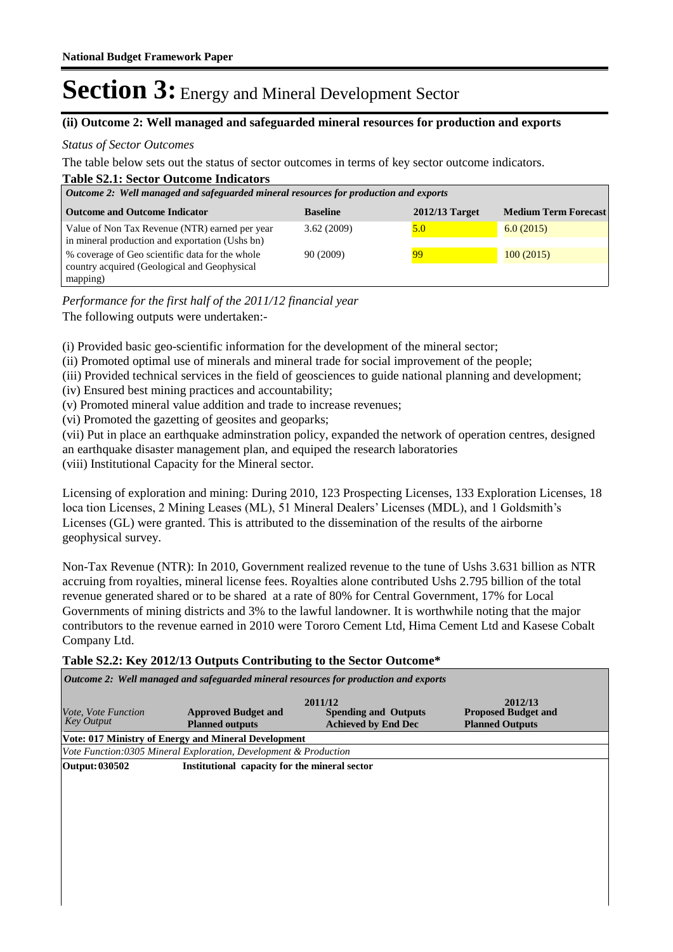#### **(ii) Outcome 2: Well managed and safeguarded mineral resources for production and exports**

#### *Status of Sector Outcomes*

The table below sets out the status of sector outcomes in terms of key sector outcome indicators.

| <b>Table S2.1: Sector Outcome Indicators</b>                                                      |                 |                |                             |  |  |  |
|---------------------------------------------------------------------------------------------------|-----------------|----------------|-----------------------------|--|--|--|
| Outcome 2: Well managed and safeguarded mineral resources for production and exports              |                 |                |                             |  |  |  |
| <b>Outcome and Outcome Indicator</b>                                                              | <b>Baseline</b> | 2012/13 Target | <b>Medium Term Forecast</b> |  |  |  |
| Value of Non Tax Revenue (NTR) earned per year<br>in mineral production and exportation (Ushs bn) | 3.62(2009)      | 5.0            | 6.0(2015)                   |  |  |  |
| % coverage of Geo scientific data for the whole<br>country acquired (Geological and Geophysical   | 90 (2009)       | 99             | 100(2015)                   |  |  |  |
| mapping)                                                                                          |                 |                |                             |  |  |  |

The following outputs were undertaken:- *Performance for the first half of the 2011/12 financial year*

(i) Provided basic geo-scientific information for the development of the mineral sector;

(ii) Promoted optimal use of minerals and mineral trade for social improvement of the people;

- (iii) Provided technical services in the field of geosciences to guide national planning and development;
- (iv) Ensured best mining practices and accountability;
- (v) Promoted mineral value addition and trade to increase revenues;
- (vi) Promoted the gazetting of geosites and geoparks;

(vii) Put in place an earthquake adminstration policy, expanded the network of operation centres, designed an earthquake disaster management plan, and equiped the research laboratories (viii) Institutional Capacity for the Mineral sector.

Licensing of exploration and mining: During 2010, 123 Prospecting Licenses, 133 Exploration Licenses, 18 loca tion Licenses, 2 Mining Leases (ML), 51 Mineral Dealers' Licenses (MDL), and 1 Goldsmith's Licenses (GL) were granted. This is attributed to the dissemination of the results of the airborne geophysical survey.

Non-Tax Revenue (NTR): In 2010, Government realized revenue to the tune of Ushs 3.631 billion as NTR accruing from royalties, mineral license fees. Royalties alone contributed Ushs 2.795 billion of the total revenue generated shared or to be shared at a rate of 80% for Central Government, 17% for Local Governments of mining districts and 3% to the lawful landowner. It is worthwhile noting that the major contributors to the revenue earned in 2010 were Tororo Cement Ltd, Hima Cement Ltd and Kasese Cobalt Company Ltd.

#### **Table S2.2: Key 2012/13 Outputs Contributing to the Sector Outcome\***

| Outcome 2: Well managed and safeguarded mineral resources for production and exports |                                                                  |                                                                      |                                                                 |  |  |  |
|--------------------------------------------------------------------------------------|------------------------------------------------------------------|----------------------------------------------------------------------|-----------------------------------------------------------------|--|--|--|
| <i>Vote, Vote Function</i><br><b>Key Output</b>                                      | <b>Approved Budget and</b><br><b>Planned outputs</b>             | 2011/12<br><b>Spending and Outputs</b><br><b>Achieved by End Dec</b> | 2012/13<br><b>Proposed Budget and</b><br><b>Planned Outputs</b> |  |  |  |
|                                                                                      | <b>Vote: 017 Ministry of Energy and Mineral Development</b>      |                                                                      |                                                                 |  |  |  |
|                                                                                      | Vote Function:0305 Mineral Exploration, Development & Production |                                                                      |                                                                 |  |  |  |
| Output: 030502                                                                       | Institutional capacity for the mineral sector                    |                                                                      |                                                                 |  |  |  |
|                                                                                      |                                                                  |                                                                      |                                                                 |  |  |  |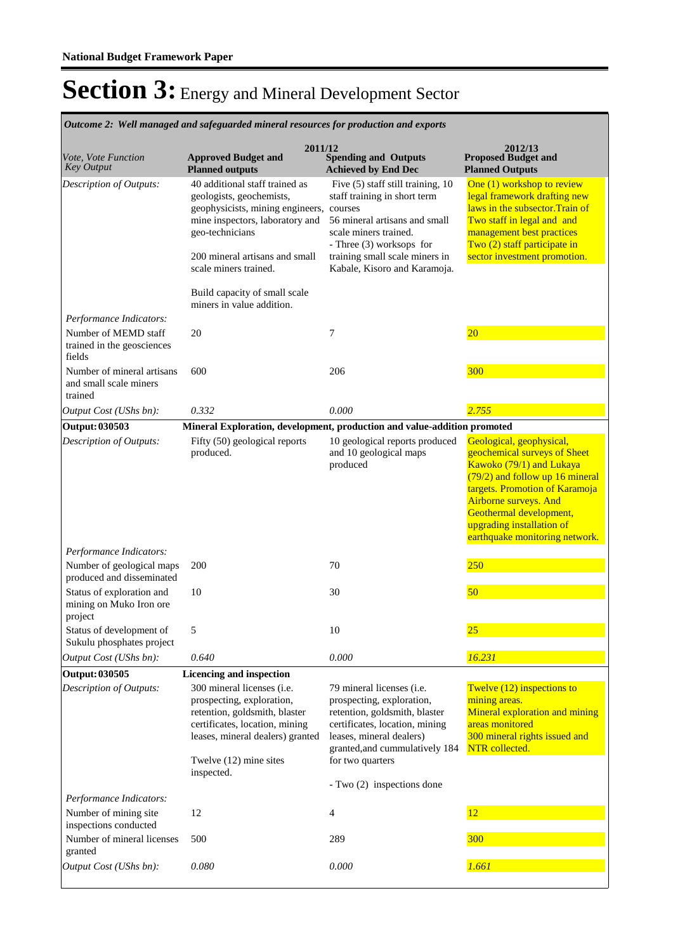**Spending and Outputs Achieved by End Dec Approved Budget and Planned outputs Proposed Budget and Planned Outputs 2011/12** *Vote, Vote Function Key Output* **2012/13** 40 additional staff trained as geologists, geochemists, geophysicists, mining engineers, mine inspectors, laboratory and geo-technicians 200 mineral artisans and small scale miners trained. Build capacity of small scale miners in value addition. Five (5) staff still training, 10 staff training in short term courses 56 mineral artisans and small scale miners trained. - Three (3) worksops for training small scale miners in Kabale, Kisoro and Karamoja. One (1) workshop to review legal framework drafting new laws in the subsector.Train of Two staff in legal and and management best practices Two (2) staff participate in sector investment promotion. *Output Cost (UShs bn): 0.332 0.000 2.755 Description of Outputs: Performance Indicators:* Number of MEMD staff trained in the geosciences fields 20 7 20 Number of mineral artisans and small scale miners trained 600 206 206 300 **Output: 030503 Mineral Exploration, development, production and value-addition promoted** Fifty (50) geological reports produced. 10 geological reports produced and 10 geological maps produced Geological, geophysical, geochemical surveys of Sheet Kawoko (79/1) and Lukaya (79/2) and follow up 16 mineral targets. Promotion of Karamoja Airborne surveys. And Geothermal development, upgrading installation of earthquake monitoring network. *Output Cost (UShs bn): 0.640 0.000 16.231 Description of Outputs: Performance Indicators:* Number of geological maps produced and disseminated 200 70 250 Status of exploration and mining on Muko Iron ore project 10 30 50 Status of development of Sukulu phosphates project 5 10  $\frac{25}{25}$ **Output: 030505 Licencing and inspection** 300 mineral licenses (i.e. prospecting, exploration, retention, goldsmith, blaster certificates, location, mining leases, mineral dealers) granted Twelve (12) mine sites inspected. 79 mineral licenses (i.e. prospecting, exploration, retention, goldsmith, blaster certificates, location, mining leases, mineral dealers) granted,and cummulatively 184 for two quarters - Two (2) inspections done Twelve (12) inspections to mining areas. Mineral exploration and mining areas monitored 300 mineral rights issued and NTR collected. *Output Cost (UShs bn): 0.080 0.000 1.661 Description of Outputs: Performance Indicators:* Number of mining site inspections conducted 12 4 12 Number of mineral licenses granted 500 289 289 300

*Outcome 2: Well managed and safeguarded mineral resources for production and exports*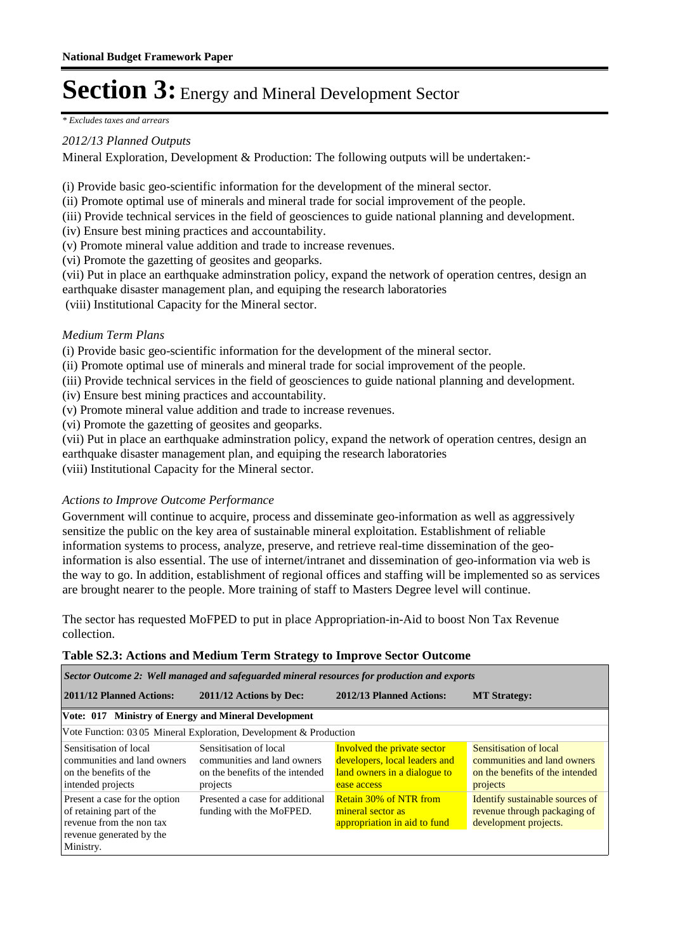*\* Excludes taxes and arrears*

#### *2012/13 Planned Outputs*

Mineral Exploration, Development & Production: The following outputs will be undertaken:-

(i) Provide basic geo-scientific information for the development of the mineral sector.

(ii) Promote optimal use of minerals and mineral trade for social improvement of the people.

(iii) Provide technical services in the field of geosciences to guide national planning and development.

(iv) Ensure best mining practices and accountability.

(v) Promote mineral value addition and trade to increase revenues.

(vi) Promote the gazetting of geosites and geoparks.

(vii) Put in place an earthquake adminstration policy, expand the network of operation centres, design an earthquake disaster management plan, and equiping the research laboratories

(viii) Institutional Capacity for the Mineral sector.

#### *Medium Term Plans*

(i) Provide basic geo-scientific information for the development of the mineral sector.

(ii) Promote optimal use of minerals and mineral trade for social improvement of the people.

- (iii) Provide technical services in the field of geosciences to guide national planning and development.
- (iv) Ensure best mining practices and accountability.
- (v) Promote mineral value addition and trade to increase revenues.
- (vi) Promote the gazetting of geosites and geoparks.

(vii) Put in place an earthquake adminstration policy, expand the network of operation centres, design an earthquake disaster management plan, and equiping the research laboratories

(viii) Institutional Capacity for the Mineral sector.

#### *Actions to Improve Outcome Performance*

Government will continue to acquire, process and disseminate geo-information as well as aggressively sensitize the public on the key area of sustainable mineral exploitation. Establishment of reliable information systems to process, analyze, preserve, and retrieve real-time dissemination of the geoinformation is also essential. The use of internet/intranet and dissemination of geo-information via web is the way to go. In addition, establishment of regional offices and staffing will be implemented so as services are brought nearer to the people. More training of staff to Masters Degree level will continue.

The sector has requested MoFPED to put in place Appropriation-in-Aid to boost Non Tax Revenue collection.

#### **Table S2.3: Actions and Medium Term Strategy to Improve Sector Outcome**

*Sector Outcome 2: Well managed and safeguarded mineral resources for production and exports*

| 2011/12 Planned Actions:                                                                                                       | 2011/12 Actions by Dec:                                                                              | 2012/13 Planned Actions:                                                                                    | <b>MT Strategy:</b>                                                                                  |
|--------------------------------------------------------------------------------------------------------------------------------|------------------------------------------------------------------------------------------------------|-------------------------------------------------------------------------------------------------------------|------------------------------------------------------------------------------------------------------|
| Vote: 017 Ministry of Energy and Mineral Development                                                                           |                                                                                                      |                                                                                                             |                                                                                                      |
|                                                                                                                                | Vote Function: 03 05 Mineral Exploration, Development & Production                                   |                                                                                                             |                                                                                                      |
| Sensitisation of local<br>communities and land owners<br>on the benefits of the<br>intended projects                           | Sensitisation of local<br>communities and land owners<br>on the benefits of the intended<br>projects | Involved the private sector<br>developers, local leaders and<br>land owners in a dialogue to<br>ease access | Sensitisation of local<br>communities and land owners<br>on the benefits of the intended<br>projects |
| Present a case for the option<br>of retaining part of the<br>revenue from the non tax<br>revenue generated by the<br>Ministry. | Presented a case for additional<br>funding with the MoFPED.                                          | <b>Retain 30% of NTR from</b><br>mineral sector as<br>appropriation in aid to fund                          | Identify sustainable sources of<br>revenue through packaging of<br>development projects.             |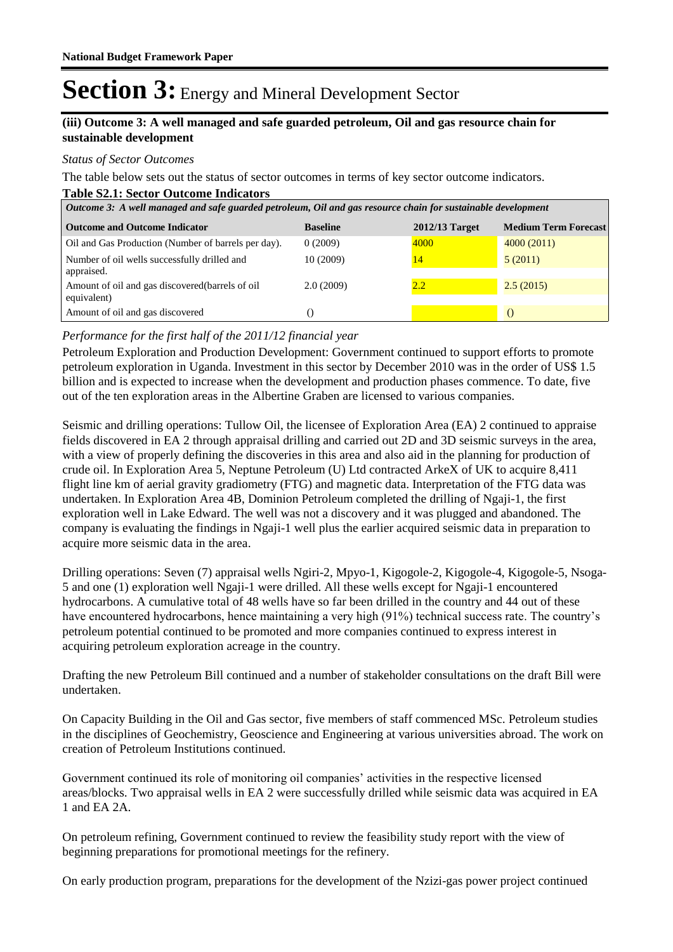#### **(iii) Outcome 3: A well managed and safe guarded petroleum, Oil and gas resource chain for sustainable development**

#### *Status of Sector Outcomes*

The table below sets out the status of sector outcomes in terms of key sector outcome indicators.

#### **Table S2.1: Sector Outcome Indicators**

| Outcome 3: A well managed and safe guarded petroleum, Oil and gas resource chain for sustainable development |                 |                 |                             |  |  |  |
|--------------------------------------------------------------------------------------------------------------|-----------------|-----------------|-----------------------------|--|--|--|
| <b>Outcome and Outcome Indicator</b>                                                                         | <b>Baseline</b> | 2012/13 Target  | <b>Medium Term Forecast</b> |  |  |  |
| Oil and Gas Production (Number of barrels per day).                                                          | 0(2009)         | 4000            | 4000(2011)                  |  |  |  |
| Number of oil wells successfully drilled and<br>appraised.                                                   | 10(2009)        | $\overline{14}$ | 5(2011)                     |  |  |  |
| Amount of oil and gas discovered (barrels of oil<br>equivalent)                                              | 2.0(2009)       | 2.2             | 2.5(2015)                   |  |  |  |
| Amount of oil and gas discovered                                                                             | 0               |                 |                             |  |  |  |

#### *Performance for the first half of the 2011/12 financial year*

Petroleum Exploration and Production Development: Government continued to support efforts to promote petroleum exploration in Uganda. Investment in this sector by December 2010 was in the order of US\$ 1.5 billion and is expected to increase when the development and production phases commence. To date, five out of the ten exploration areas in the Albertine Graben are licensed to various companies.

Seismic and drilling operations: Tullow Oil, the licensee of Exploration Area (EA) 2 continued to appraise fields discovered in EA 2 through appraisal drilling and carried out 2D and 3D seismic surveys in the area, with a view of properly defining the discoveries in this area and also aid in the planning for production of crude oil. In Exploration Area 5, Neptune Petroleum (U) Ltd contracted ArkeX of UK to acquire 8,411 flight line km of aerial gravity gradiometry (FTG) and magnetic data. Interpretation of the FTG data was undertaken. In Exploration Area 4B, Dominion Petroleum completed the drilling of Ngaji-1, the first exploration well in Lake Edward. The well was not a discovery and it was plugged and abandoned. The company is evaluating the findings in Ngaji-1 well plus the earlier acquired seismic data in preparation to acquire more seismic data in the area.

Drilling operations: Seven (7) appraisal wells Ngiri-2, Mpyo-1, Kigogole-2, Kigogole-4, Kigogole-5, Nsoga-5 and one (1) exploration well Ngaji-1 were drilled. All these wells except for Ngaji-1 encountered hydrocarbons. A cumulative total of 48 wells have so far been drilled in the country and 44 out of these have encountered hydrocarbons, hence maintaining a very high (91%) technical success rate. The country's petroleum potential continued to be promoted and more companies continued to express interest in acquiring petroleum exploration acreage in the country.

Drafting the new Petroleum Bill continued and a number of stakeholder consultations on the draft Bill were undertaken.

On Capacity Building in the Oil and Gas sector, five members of staff commenced MSc. Petroleum studies in the disciplines of Geochemistry, Geoscience and Engineering at various universities abroad. The work on creation of Petroleum Institutions continued.

Government continued its role of monitoring oil companies' activities in the respective licensed areas/blocks. Two appraisal wells in EA 2 were successfully drilled while seismic data was acquired in EA 1 and EA 2A.

On petroleum refining, Government continued to review the feasibility study report with the view of beginning preparations for promotional meetings for the refinery.

On early production program, preparations for the development of the Nzizi-gas power project continued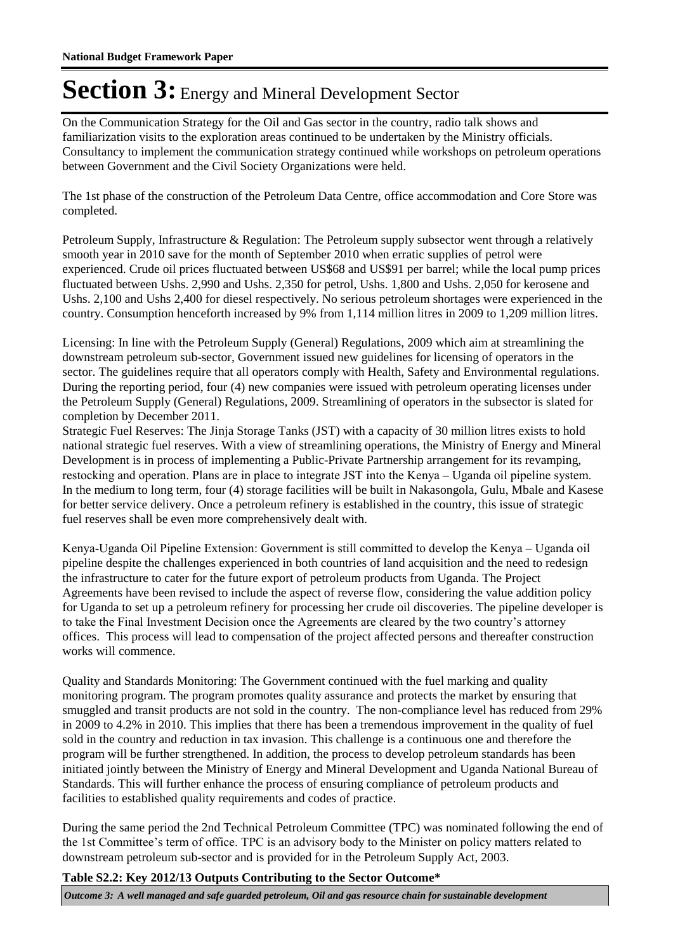On the Communication Strategy for the Oil and Gas sector in the country, radio talk shows and familiarization visits to the exploration areas continued to be undertaken by the Ministry officials. Consultancy to implement the communication strategy continued while workshops on petroleum operations between Government and the Civil Society Organizations were held.

The 1st phase of the construction of the Petroleum Data Centre, office accommodation and Core Store was completed.

Petroleum Supply, Infrastructure & Regulation: The Petroleum supply subsector went through a relatively smooth year in 2010 save for the month of September 2010 when erratic supplies of petrol were experienced. Crude oil prices fluctuated between US\$68 and US\$91 per barrel; while the local pump prices fluctuated between Ushs. 2,990 and Ushs. 2,350 for petrol, Ushs. 1,800 and Ushs. 2,050 for kerosene and Ushs. 2,100 and Ushs 2,400 for diesel respectively. No serious petroleum shortages were experienced in the country. Consumption henceforth increased by 9% from 1,114 million litres in 2009 to 1,209 million litres.

Licensing: In line with the Petroleum Supply (General) Regulations, 2009 which aim at streamlining the downstream petroleum sub-sector, Government issued new guidelines for licensing of operators in the sector. The guidelines require that all operators comply with Health, Safety and Environmental regulations. During the reporting period, four (4) new companies were issued with petroleum operating licenses under the Petroleum Supply (General) Regulations, 2009. Streamlining of operators in the subsector is slated for completion by December 2011.

Strategic Fuel Reserves: The Jinja Storage Tanks (JST) with a capacity of 30 million litres exists to hold national strategic fuel reserves. With a view of streamlining operations, the Ministry of Energy and Mineral Development is in process of implementing a Public-Private Partnership arrangement for its revamping, restocking and operation. Plans are in place to integrate JST into the Kenya – Uganda oil pipeline system. In the medium to long term, four (4) storage facilities will be built in Nakasongola, Gulu, Mbale and Kasese for better service delivery. Once a petroleum refinery is established in the country, this issue of strategic fuel reserves shall be even more comprehensively dealt with.

Kenya-Uganda Oil Pipeline Extension: Government is still committed to develop the Kenya – Uganda oil pipeline despite the challenges experienced in both countries of land acquisition and the need to redesign the infrastructure to cater for the future export of petroleum products from Uganda. The Project Agreements have been revised to include the aspect of reverse flow, considering the value addition policy for Uganda to set up a petroleum refinery for processing her crude oil discoveries. The pipeline developer is to take the Final Investment Decision once the Agreements are cleared by the two country's attorney offices. This process will lead to compensation of the project affected persons and thereafter construction works will commence.

Quality and Standards Monitoring: The Government continued with the fuel marking and quality monitoring program. The program promotes quality assurance and protects the market by ensuring that smuggled and transit products are not sold in the country. The non-compliance level has reduced from 29% in 2009 to 4.2% in 2010. This implies that there has been a tremendous improvement in the quality of fuel sold in the country and reduction in tax invasion. This challenge is a continuous one and therefore the program will be further strengthened. In addition, the process to develop petroleum standards has been initiated jointly between the Ministry of Energy and Mineral Development and Uganda National Bureau of Standards. This will further enhance the process of ensuring compliance of petroleum products and facilities to established quality requirements and codes of practice.

During the same period the 2nd Technical Petroleum Committee (TPC) was nominated following the end of the 1st Committee's term of office. TPC is an advisory body to the Minister on policy matters related to downstream petroleum sub-sector and is provided for in the Petroleum Supply Act, 2003.

**Table S2.2: Key 2012/13 Outputs Contributing to the Sector Outcome\***

*Outcome 3: A well managed and safe guarded petroleum, Oil and gas resource chain for sustainable development*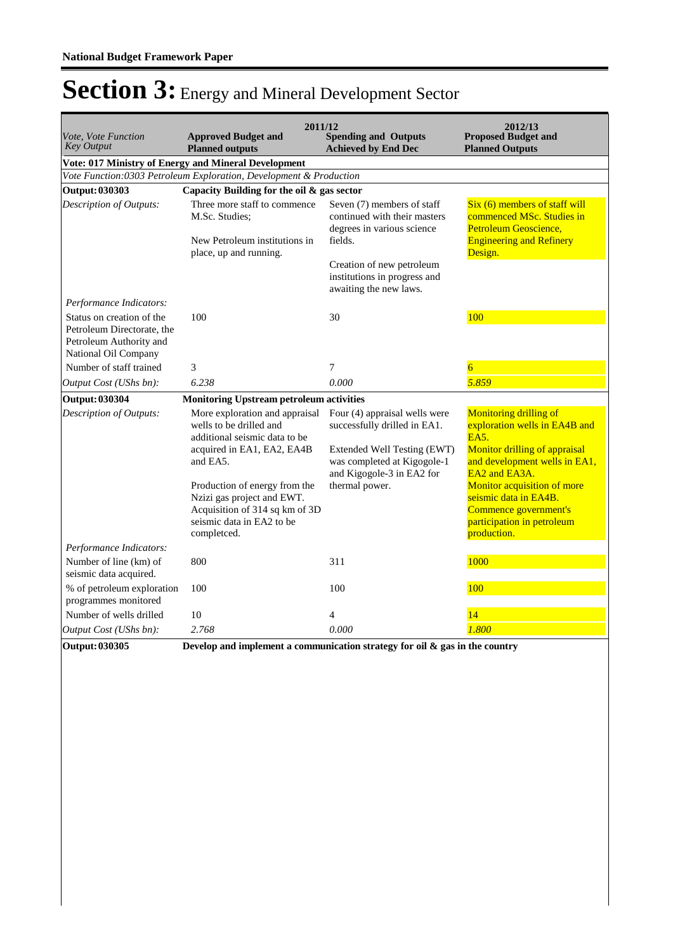| Vote, Vote Function<br><b>Key Output</b>                                                                   | <b>Approved Budget and</b><br><b>Planned outputs</b>                                                                                      | 2011/12<br><b>Spending and Outputs</b><br><b>Achieved by End Dec</b>                         | 2012/13<br><b>Proposed Budget and</b><br><b>Planned Outputs</b>                                                            |
|------------------------------------------------------------------------------------------------------------|-------------------------------------------------------------------------------------------------------------------------------------------|----------------------------------------------------------------------------------------------|----------------------------------------------------------------------------------------------------------------------------|
|                                                                                                            | Vote: 017 Ministry of Energy and Mineral Development                                                                                      |                                                                                              |                                                                                                                            |
|                                                                                                            | Vote Function:0303 Petroleum Exploration, Development & Production                                                                        |                                                                                              |                                                                                                                            |
| <b>Output: 030303</b>                                                                                      | Capacity Building for the oil & gas sector                                                                                                |                                                                                              |                                                                                                                            |
| Description of Outputs:                                                                                    | Three more staff to commence<br>M.Sc. Studies:                                                                                            | Seven (7) members of staff<br>continued with their masters<br>degrees in various science     | Six (6) members of staff will<br>commenced MSc. Studies in<br>Petroleum Geoscience,                                        |
|                                                                                                            | New Petroleum institutions in<br>place, up and running.                                                                                   | fields.                                                                                      | <b>Engineering and Refinery</b><br>Design.                                                                                 |
|                                                                                                            |                                                                                                                                           | Creation of new petroleum<br>institutions in progress and<br>awaiting the new laws.          |                                                                                                                            |
| Performance Indicators:                                                                                    |                                                                                                                                           |                                                                                              |                                                                                                                            |
| Status on creation of the<br>Petroleum Directorate, the<br>Petroleum Authority and<br>National Oil Company | 100                                                                                                                                       | 30                                                                                           | 100                                                                                                                        |
| Number of staff trained                                                                                    | 3                                                                                                                                         | $\overline{7}$                                                                               | 6                                                                                                                          |
| Output Cost (UShs bn):                                                                                     | 6.238                                                                                                                                     | 0.000                                                                                        | 5.859                                                                                                                      |
| <b>Output: 030304</b>                                                                                      | <b>Monitoring Upstream petroleum activities</b>                                                                                           |                                                                                              |                                                                                                                            |
| Description of Outputs:                                                                                    | wells to be drilled and<br>additional seismic data to be                                                                                  | More exploration and appraisal Four (4) appraisal wells were<br>successfully drilled in EA1. | <b>Monitoring drilling of</b><br>exploration wells in EA4B and<br>EA5.                                                     |
|                                                                                                            | acquired in EA1, EA2, EA4B<br>and EA5.                                                                                                    | Extended Well Testing (EWT)<br>was completed at Kigogole-1<br>and Kigogole-3 in EA2 for      | Monitor drilling of appraisal<br>and development wells in EA1,<br>EA2 and EA3A.                                            |
|                                                                                                            | Production of energy from the<br>Nzizi gas project and EWT.<br>Acquisition of 314 sq km of 3D<br>seismic data in EA2 to be<br>completced. | thermal power.                                                                               | Monitor acquisition of more<br>seismic data in EA4B.<br>Commence government's<br>participation in petroleum<br>production. |
| Performance Indicators:                                                                                    |                                                                                                                                           |                                                                                              |                                                                                                                            |
| Number of line (km) of<br>seismic data acquired.                                                           | 800                                                                                                                                       | 311                                                                                          | 1000                                                                                                                       |
| % of petroleum exploration<br>programmes monitored                                                         | 100                                                                                                                                       | 100                                                                                          | 100                                                                                                                        |
| Number of wells drilled                                                                                    | 10                                                                                                                                        | $\overline{4}$                                                                               | 14                                                                                                                         |
| Output Cost (UShs bn):                                                                                     | 2.768                                                                                                                                     | 0.000                                                                                        | 1.800                                                                                                                      |
| Output: 030305                                                                                             |                                                                                                                                           | Develop and implement a communication strategy for oil $\&$ gas in the country               |                                                                                                                            |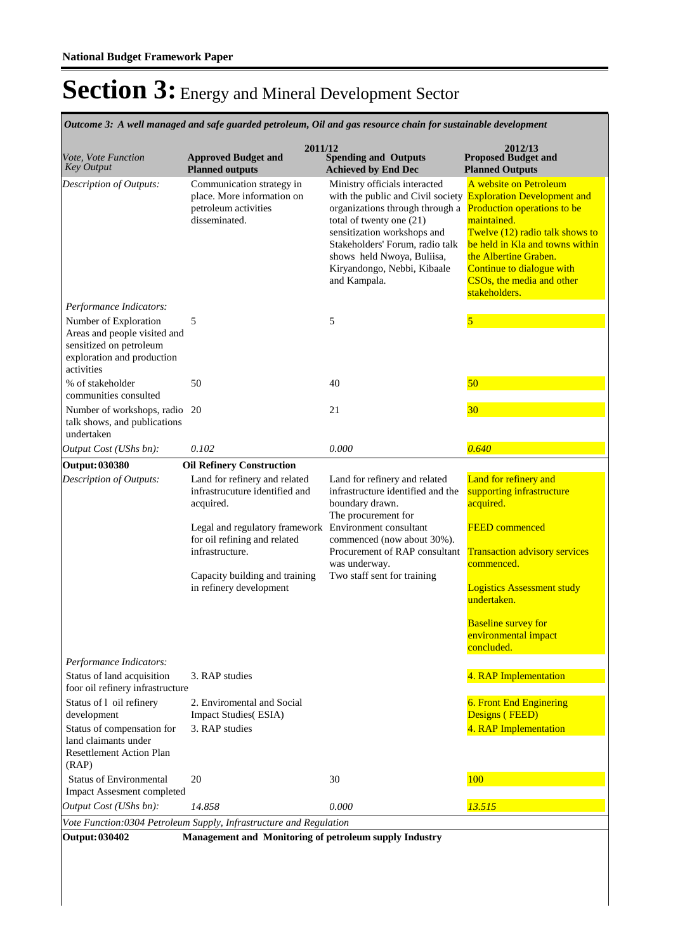*Outcome 3: A well managed and safe guarded petroleum, Oil and gas resource chain for sustainable development*

| Vote, Vote Function<br><b>Key Output</b>                                                                                     | 2011/12<br><b>Approved Budget and</b><br><b>Planned outputs</b>                                                                                                                                                                                       | <b>Spending and Outputs</b><br><b>Achieved by End Dec</b>                                                                                                                                                                                                                        | 2012/13<br><b>Proposed Budget and</b><br><b>Planned Outputs</b>                                                                                                                                                                                                                      |
|------------------------------------------------------------------------------------------------------------------------------|-------------------------------------------------------------------------------------------------------------------------------------------------------------------------------------------------------------------------------------------------------|----------------------------------------------------------------------------------------------------------------------------------------------------------------------------------------------------------------------------------------------------------------------------------|--------------------------------------------------------------------------------------------------------------------------------------------------------------------------------------------------------------------------------------------------------------------------------------|
| Description of Outputs:                                                                                                      | Communication strategy in<br>place. More information on<br>petroleum activities<br>disseminated.                                                                                                                                                      | Ministry officials interacted<br>with the public and Civil society<br>organizations through through a<br>total of twenty one (21)<br>sensitization workshops and<br>Stakeholders' Forum, radio talk<br>shows held Nwoya, Buliisa,<br>Kiryandongo, Nebbi, Kibaale<br>and Kampala. | A website on Petroleum<br><b>Exploration Development and</b><br>Production operations to be<br>maintained.<br>Twelve (12) radio talk shows to<br>be held in Kla and towns within<br>the Albertine Graben.<br>Continue to dialogue with<br>CSOs, the media and other<br>stakeholders. |
| Performance Indicators:                                                                                                      |                                                                                                                                                                                                                                                       |                                                                                                                                                                                                                                                                                  |                                                                                                                                                                                                                                                                                      |
| Number of Exploration<br>Areas and people visited and<br>sensitized on petroleum<br>exploration and production<br>activities | 5                                                                                                                                                                                                                                                     | 5                                                                                                                                                                                                                                                                                | 5                                                                                                                                                                                                                                                                                    |
| % of stakeholder<br>communities consulted                                                                                    | 50                                                                                                                                                                                                                                                    | 40                                                                                                                                                                                                                                                                               | 50                                                                                                                                                                                                                                                                                   |
| Number of workshops, radio 20<br>talk shows, and publications<br>undertaken                                                  |                                                                                                                                                                                                                                                       | 21                                                                                                                                                                                                                                                                               | 30                                                                                                                                                                                                                                                                                   |
| Output Cost (UShs bn):                                                                                                       | 0.102                                                                                                                                                                                                                                                 | 0.000                                                                                                                                                                                                                                                                            | 0.640                                                                                                                                                                                                                                                                                |
| <b>Output: 030380</b>                                                                                                        | <b>Oil Refinery Construction</b>                                                                                                                                                                                                                      |                                                                                                                                                                                                                                                                                  |                                                                                                                                                                                                                                                                                      |
| Description of Outputs:                                                                                                      | Land for refinery and related<br>infrastrucuture identified and<br>acquired.<br>Legal and regulatory framework Environment consultant<br>for oil refining and related<br>infrastructure.<br>Capacity building and training<br>in refinery development | Land for refinery and related<br>infrastructure identified and the<br>boundary drawn.<br>The procurement for<br>commenced (now about 30%).<br>Procurement of RAP consultant<br>was underway.<br>Two staff sent for training                                                      | Land for refinery and<br>supporting infrastructure<br>acquired.<br><b>FEED</b> commenced<br><b>Transaction advisory services</b><br>commenced.<br><b>Logistics Assessment study</b><br>undertaken.<br><b>Baseline survey for</b><br>environmental impact<br>concluded.               |
| Performance Indicators:                                                                                                      |                                                                                                                                                                                                                                                       |                                                                                                                                                                                                                                                                                  |                                                                                                                                                                                                                                                                                      |
| Status of land acquisition<br>foor oil refinery infrastructure                                                               | 3. RAP studies                                                                                                                                                                                                                                        |                                                                                                                                                                                                                                                                                  | 4. RAP Implementation                                                                                                                                                                                                                                                                |
| Status of 1 oil refinery<br>development                                                                                      | 2. Enviromental and Social<br><b>Impact Studies</b> (ESIA)                                                                                                                                                                                            |                                                                                                                                                                                                                                                                                  | 6. Front End Enginering<br>Designs (FEED)                                                                                                                                                                                                                                            |
| Status of compensation for<br>land claimants under<br><b>Resettlement Action Plan</b><br>(RAP)                               | 3. RAP studies                                                                                                                                                                                                                                        |                                                                                                                                                                                                                                                                                  | 4. RAP Implementation                                                                                                                                                                                                                                                                |
| <b>Status of Environmental</b><br>Impact Assesment completed                                                                 | 20                                                                                                                                                                                                                                                    | 30                                                                                                                                                                                                                                                                               | 100                                                                                                                                                                                                                                                                                  |
| Output Cost (UShs bn):                                                                                                       | 14.858                                                                                                                                                                                                                                                | 0.000                                                                                                                                                                                                                                                                            | 13.515                                                                                                                                                                                                                                                                               |
|                                                                                                                              | Vote Function:0304 Petroleum Supply, Infrastructure and Regulation                                                                                                                                                                                    |                                                                                                                                                                                                                                                                                  |                                                                                                                                                                                                                                                                                      |
| <b>Output: 030402</b>                                                                                                        | Management and Monitoring of petroleum supply Industry                                                                                                                                                                                                |                                                                                                                                                                                                                                                                                  |                                                                                                                                                                                                                                                                                      |
|                                                                                                                              |                                                                                                                                                                                                                                                       |                                                                                                                                                                                                                                                                                  |                                                                                                                                                                                                                                                                                      |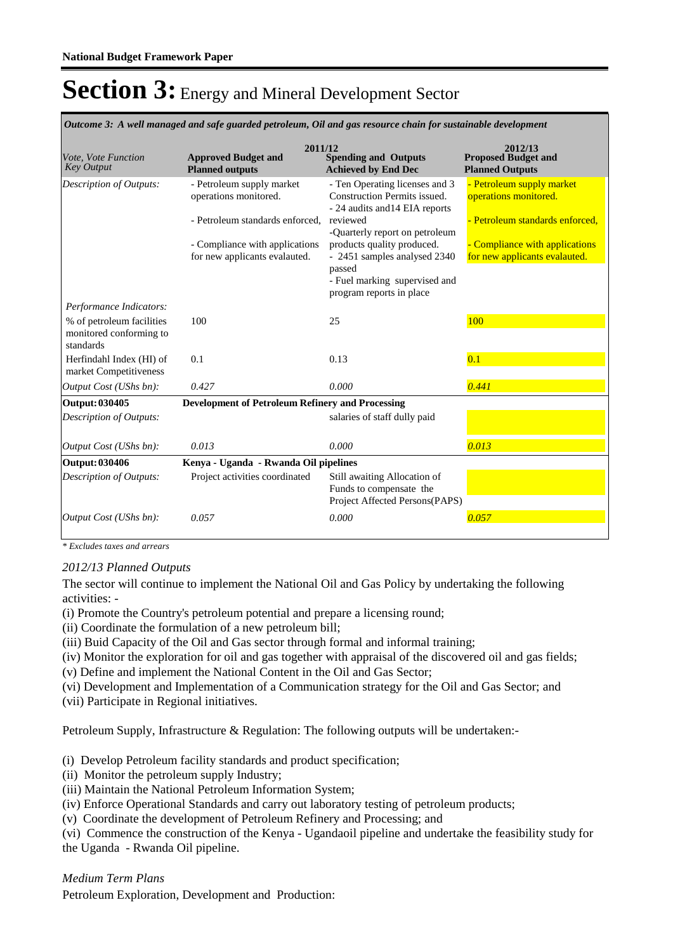*Outcome 3: A well managed and safe guarded petroleum, Oil and gas resource chain for sustainable development*

| Vote, Vote Function<br><b>Key Output</b>                                                     | 2011/12<br><b>Approved Budget and</b><br><b>Planned outputs</b> | <b>Spending and Outputs</b><br><b>Achieved by End Dec</b>                                                                         | 2012/13<br><b>Proposed Budget and</b><br><b>Planned Outputs</b> |
|----------------------------------------------------------------------------------------------|-----------------------------------------------------------------|-----------------------------------------------------------------------------------------------------------------------------------|-----------------------------------------------------------------|
| Description of Outputs:                                                                      | - Petroleum supply market<br>operations monitored.              | - Ten Operating licenses and 3<br>Construction Permits issued.<br>- 24 audits and 14 EIA reports                                  | - Petroleum supply market<br>operations monitored.              |
|                                                                                              | - Petroleum standards enforced,                                 | reviewed<br>-Quarterly report on petroleum                                                                                        | - Petroleum standards enforced,                                 |
|                                                                                              | - Compliance with applications<br>for new applicants evalauted. | products quality produced.<br>- 2451 samples analysed 2340<br>passed<br>- Fuel marking supervised and<br>program reports in place | - Compliance with applications<br>for new applicants evalauted. |
| Performance Indicators:<br>% of petroleum facilities<br>monitored conforming to<br>standards | 100                                                             | 25                                                                                                                                | 100                                                             |
| Herfindahl Index (HI) of<br>market Competitiveness                                           | 0.1                                                             | 0.13                                                                                                                              | 0.1                                                             |
| Output Cost (UShs bn):                                                                       | 0.427                                                           | 0.000                                                                                                                             | 0.441                                                           |
| <b>Output: 030405</b>                                                                        | <b>Development of Petroleum Refinery and Processing</b>         |                                                                                                                                   |                                                                 |
| Description of Outputs:                                                                      |                                                                 | salaries of staff dully paid                                                                                                      |                                                                 |
| Output Cost (UShs bn):                                                                       | 0.013                                                           | 0.000                                                                                                                             | 0.013                                                           |
| <b>Output: 030406</b>                                                                        | Kenya - Uganda - Rwanda Oil pipelines                           |                                                                                                                                   |                                                                 |
| Description of Outputs:                                                                      | Project activities coordinated                                  | Still awaiting Allocation of<br>Funds to compensate the<br>Project Affected Persons(PAPS)                                         |                                                                 |
| Output Cost (UShs bn):                                                                       | 0.057                                                           | 0.000                                                                                                                             | 0.057                                                           |

*\* Excludes taxes and arrears*

#### *2012/13 Planned Outputs*

The sector will continue to implement the National Oil and Gas Policy by undertaking the following activities: -

(i) Promote the Country's petroleum potential and prepare a licensing round;

(ii) Coordinate the formulation of a new petroleum bill;

(iii) Buid Capacity of the Oil and Gas sector through formal and informal training;

(iv) Monitor the exploration for oil and gas together with appraisal of the discovered oil and gas fields;

(v) Define and implement the National Content in the Oil and Gas Sector;

(vi) Development and Implementation of a Communication strategy for the Oil and Gas Sector; and

(vii) Participate in Regional initiatives.

Petroleum Supply, Infrastructure & Regulation: The following outputs will be undertaken:-

(i) Develop Petroleum facility standards and product specification;

- (ii) Monitor the petroleum supply Industry;
- (iii) Maintain the National Petroleum Information System;
- (iv) Enforce Operational Standards and carry out laboratory testing of petroleum products;
- (v) Coordinate the development of Petroleum Refinery and Processing; and

(vi) Commence the construction of the Kenya - Ugandaoil pipeline and undertake the feasibility study for the Uganda - Rwanda Oil pipeline.

*Medium Term Plans*

Petroleum Exploration, Development and Production: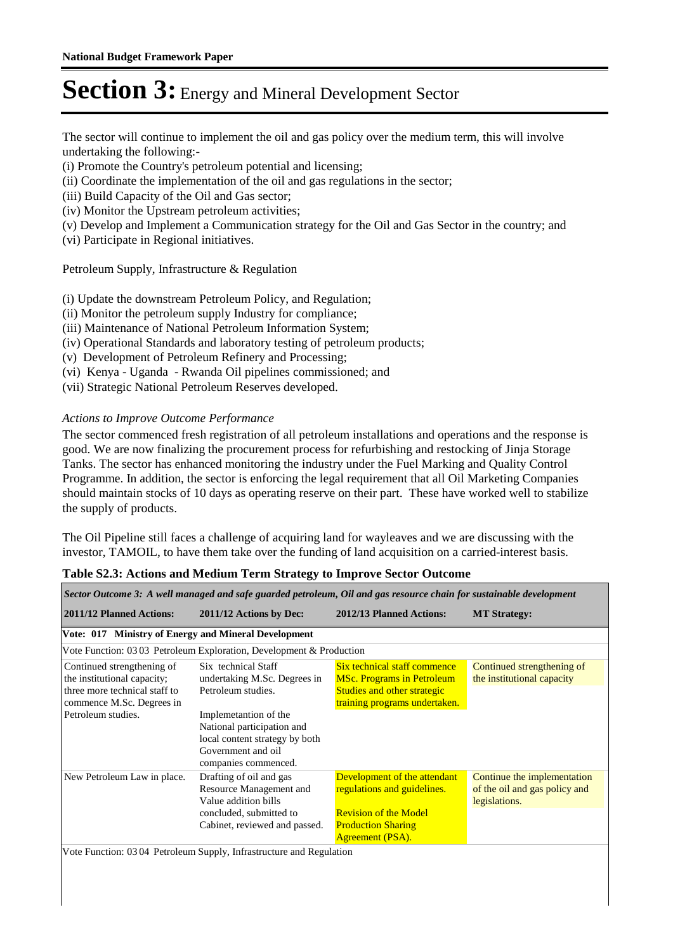The sector will continue to implement the oil and gas policy over the medium term, this will involve undertaking the following:-

- (i) Promote the Country's petroleum potential and licensing;
- (ii) Coordinate the implementation of the oil and gas regulations in the sector;
- (iii) Build Capacity of the Oil and Gas sector;
- (iv) Monitor the Upstream petroleum activities;
- (v) Develop and Implement a Communication strategy for the Oil and Gas Sector in the country; and
- (vi) Participate in Regional initiatives.

#### Petroleum Supply, Infrastructure & Regulation

- (i) Update the downstream Petroleum Policy, and Regulation;
- (ii) Monitor the petroleum supply Industry for compliance;
- (iii) Maintenance of National Petroleum Information System;
- (iv) Operational Standards and laboratory testing of petroleum products;
- (v) Development of Petroleum Refinery and Processing;
- (vi) Kenya Uganda Rwanda Oil pipelines commissioned; and
- (vii) Strategic National Petroleum Reserves developed.

#### *Actions to Improve Outcome Performance*

The sector commenced fresh registration of all petroleum installations and operations and the response is good. We are now finalizing the procurement process for refurbishing and restocking of Jinja Storage Tanks. The sector has enhanced monitoring the industry under the Fuel Marking and Quality Control Programme. In addition, the sector is enforcing the legal requirement that all Oil Marketing Companies should maintain stocks of 10 days as operating reserve on their part. These have worked well to stabilize the supply of products.

The Oil Pipeline still faces a challenge of acquiring land for wayleaves and we are discussing with the investor, TAMOIL, to have them take over the funding of land acquisition on a carried-interest basis.

| Sector Outcome 3: A well managed and safe guarded petroleum, Oil and gas resource chain for sustainable development                           |                                                                                                                                                                                                                  |                                                                                                                                                     |                                                                               |  |  |  |  |
|-----------------------------------------------------------------------------------------------------------------------------------------------|------------------------------------------------------------------------------------------------------------------------------------------------------------------------------------------------------------------|-----------------------------------------------------------------------------------------------------------------------------------------------------|-------------------------------------------------------------------------------|--|--|--|--|
| <b>2011/12 Planned Actions:</b>                                                                                                               | 2011/12 Actions by Dec:                                                                                                                                                                                          | 2012/13 Planned Actions:                                                                                                                            | <b>MT</b> Strategy:                                                           |  |  |  |  |
| Vote: 017 Ministry of Energy and Mineral Development                                                                                          |                                                                                                                                                                                                                  |                                                                                                                                                     |                                                                               |  |  |  |  |
|                                                                                                                                               | Vote Function: 03 03 Petroleum Exploration, Development & Production                                                                                                                                             |                                                                                                                                                     |                                                                               |  |  |  |  |
| Continued strengthening of<br>the institutional capacity;<br>three more technical staff to<br>commence M.Sc. Degrees in<br>Petroleum studies. | Six technical Staff<br>undertaking M.Sc. Degrees in<br>Petroleum studies.<br>Implemetantion of the<br>National participation and<br>local content strategy by both<br>Government and oil<br>companies commenced. | Six technical staff commence<br><b>MSc. Programs in Petroleum</b><br>Studies and other strategic<br>training programs undertaken.                   | Continued strengthening of<br>the institutional capacity                      |  |  |  |  |
| New Petroleum Law in place.                                                                                                                   | Drafting of oil and gas<br>Resource Management and<br>Value addition bills<br>concluded, submitted to<br>Cabinet, reviewed and passed.                                                                           | Development of the attendant<br>regulations and guidelines.<br><b>Revision of the Model</b><br><b>Production Sharing</b><br><b>Agreement (PSA).</b> | Continue the implementation<br>of the oil and gas policy and<br>legislations. |  |  |  |  |
| Vote Function: 0304 Petroleum Supply, Infrastructure and Regulation                                                                           |                                                                                                                                                                                                                  |                                                                                                                                                     |                                                                               |  |  |  |  |

#### **Table S2.3: Actions and Medium Term Strategy to Improve Sector Outcome**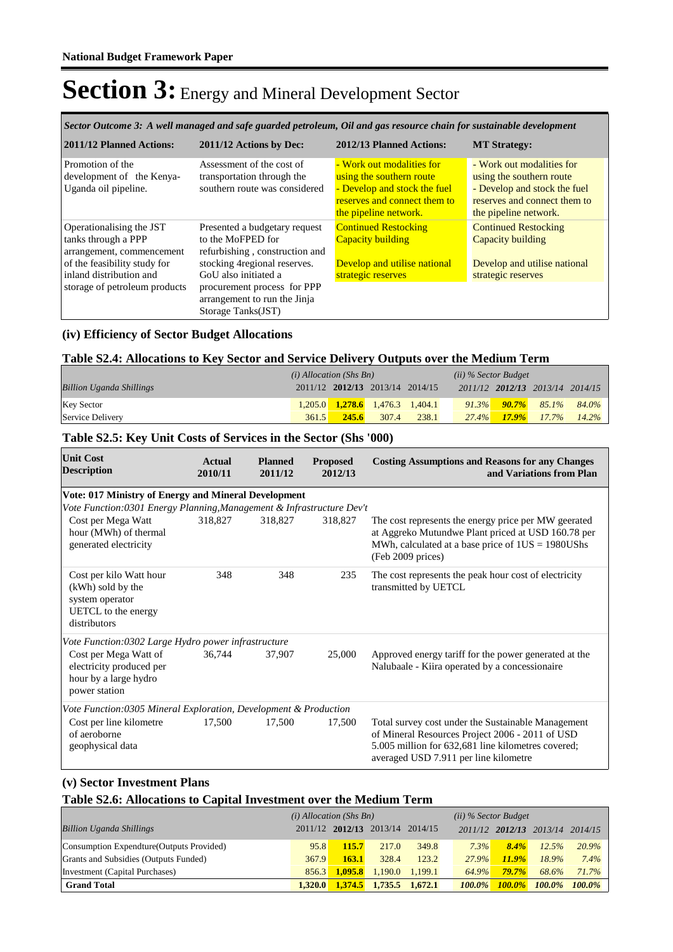*Sector Outcome 3: A well managed and safe guarded petroleum, Oil and gas resource chain for sustainable development*

| 2011/12 Planned Actions:      | 2011/12 Actions by Dec:        | 2012/13 Planned Actions:     | <b>MT Strategy:</b>          |
|-------------------------------|--------------------------------|------------------------------|------------------------------|
| Promotion of the              | Assessment of the cost of      | - Work out modalities for    | - Work out modalities for    |
| development of the Kenya-     | transportation through the     | using the southern route     | using the southern route     |
| Uganda oil pipeline.          | southern route was considered  | - Develop and stock the fuel | - Develop and stock the fuel |
|                               |                                | reserves and connect them to | reserves and connect them to |
|                               |                                | the pipeline network.        | the pipeline network.        |
| Operationalising the JST      | Presented a budgetary request  | <b>Continued Restocking</b>  | <b>Continued Restocking</b>  |
| tanks through a PPP           | to the MoFPED for              | Capacity building            | Capacity building            |
| arrangement, commencement     | refurbishing, construction and |                              |                              |
| of the feasibility study for  | stocking 4 regional reserves.  | Develop and utilise national | Develop and utilise national |
| inland distribution and       | GoU also initiated a           | strategic reserves           | strategic reserves           |
| storage of petroleum products | procurement process for PPP    |                              |                              |
|                               | arrangement to run the Jinja   |                              |                              |
|                               | Storage Tanks(JST)             |                              |                              |

#### **(iv) Efficiency of Sector Budget Allocations**

#### **Table S2.4: Allocations to Key Sector and Service Delivery Outputs over the Medium Term**

|                                 | $(i)$ Allocation (Shs Bn) |       |                                         | ( <i>ii</i> ) % Sector Budget |          |          |          |                                 |
|---------------------------------|---------------------------|-------|-----------------------------------------|-------------------------------|----------|----------|----------|---------------------------------|
| <b>Billion Uganda Shillings</b> |                           |       | 2011/12 2012/13 2013/14 2014/15         |                               |          |          |          | 2011/12 2012/13 2013/14 2014/15 |
| <b>Key Sector</b>               |                           |       | $1,205.0$ $1,278.6$ $1,476.3$ $1,404.1$ |                               | $91.3\%$ | $90.7\%$ | 85.1%    | 84.0%                           |
| Service Delivery                | 361.5                     | 245.6 | 307.4                                   | 238.1                         | $27.4\%$ | $17.9\%$ | $17.7\%$ | $14.2\%$                        |

#### **Table S2.5: Key Unit Costs of Services in the Sector (Shs '000)**

| <b>Unit Cost</b><br><b>Description</b>                                                                 | <b>Actual</b><br>2010/11 | <b>Planned</b><br>2011/12 | <b>Proposed</b><br>2012/13 | <b>Costing Assumptions and Reasons for any Changes</b><br>and Variations from Plan                                                                                                                   |
|--------------------------------------------------------------------------------------------------------|--------------------------|---------------------------|----------------------------|------------------------------------------------------------------------------------------------------------------------------------------------------------------------------------------------------|
| Vote: 017 Ministry of Energy and Mineral Development                                                   |                          |                           |                            |                                                                                                                                                                                                      |
| Vote Function:0301 Energy Planning, Management & Infrastructure Dev't                                  |                          |                           |                            |                                                                                                                                                                                                      |
| Cost per Mega Watt<br>hour (MWh) of thermal<br>generated electricity                                   | 318,827                  | 318,827                   | 318,827                    | The cost represents the energy price per MW geerated<br>at Aggreko Mutundwe Plant priced at USD 160.78 per<br>MWh, calculated at a base price of $1US = 1980US$ hs<br>(Feb 2009 prices)              |
| Cost per kilo Watt hour<br>(kWh) sold by the<br>system operator<br>UETCL to the energy<br>distributors | 348                      | 348                       | 235                        | The cost represents the peak hour cost of electricity<br>transmitted by UETCL                                                                                                                        |
| Vote Function:0302 Large Hydro power infrastructure                                                    |                          |                           |                            |                                                                                                                                                                                                      |
| Cost per Mega Watt of<br>electricity produced per<br>hour by a large hydro<br>power station            | 36,744                   | 37,907                    | 25,000                     | Approved energy tariff for the power generated at the<br>Nalubaale - Kiira operated by a concessionaire                                                                                              |
| Vote Function: 0305 Mineral Exploration, Development & Production                                      |                          |                           |                            |                                                                                                                                                                                                      |
| Cost per line kilometre<br>of aeroborne<br>geophysical data                                            | 17,500                   | 17,500                    | 17,500                     | Total survey cost under the Sustainable Management<br>of Mineral Resources Project 2006 - 2011 of USD<br>5.005 million for 632,681 line kilometres covered;<br>averaged USD 7.911 per line kilometre |

#### **(v) Sector Investment Plans**

#### **Table S2.6: Allocations to Capital Investment over the Medium Term**

|                                           | $(i)$ Allocation (Shs Bn) |         |                                 | $(ii)$ % Sector Budget |               |                         |           |           |
|-------------------------------------------|---------------------------|---------|---------------------------------|------------------------|---------------|-------------------------|-----------|-----------|
| <b>Billion Uganda Shillings</b>           |                           |         | 2011/12 2012/13 2013/14 2014/15 |                        |               | 2011/12 2012/13 2013/14 |           | 2014/15   |
| Consumption Expendture (Outputs Provided) | 95.8                      | 115.7   | 217.0                           | 349.8                  | $7.3\%$       | $8.4\%$                 | 12.5%     | $20.9\%$  |
| Grants and Subsidies (Outputs Funded)     | 367.9                     | 163.1   | 328.4                           | 123.2                  | 27.9%         | 11.9%                   | 18.9%     | $7.4\%$   |
| Investment (Capital Purchases)            | 856.3                     | 1.095.8 |                                 | $1.190.0$ $1.199.1$    | 64.9%         | $79.7\%$                | 68.6%     | 71.7%     |
| <b>Grand Total</b>                        | 1,320.0                   |         | $1,374.5$ $1,735.5$ $1,672.1$   |                        | <b>100.0%</b> | $100.0\%$               | $100.0\%$ | $100.0\%$ |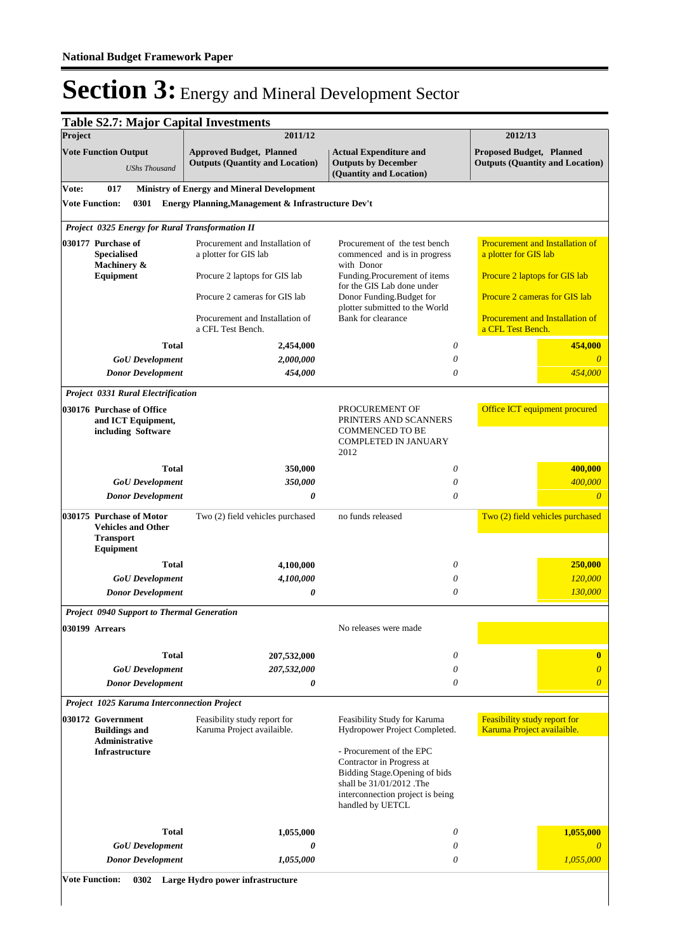|                                                     | <b>Table S2.7: Major Capital Investments</b>                                                  |                                                                           |                                                                                                                                                                             |                                                                           |
|-----------------------------------------------------|-----------------------------------------------------------------------------------------------|---------------------------------------------------------------------------|-----------------------------------------------------------------------------------------------------------------------------------------------------------------------------|---------------------------------------------------------------------------|
| Project                                             |                                                                                               | 2011/12                                                                   |                                                                                                                                                                             | 2012/13                                                                   |
| <b>Vote Function Output</b><br><b>UShs Thousand</b> |                                                                                               | <b>Approved Budget, Planned</b><br><b>Outputs (Quantity and Location)</b> | <b>Actual Expenditure and</b><br><b>Outputs by December</b><br>(Quantity and Location)                                                                                      | <b>Proposed Budget, Planned</b><br><b>Outputs (Quantity and Location)</b> |
| Vote:                                               | 017                                                                                           | <b>Ministry of Energy and Mineral Development</b>                         |                                                                                                                                                                             |                                                                           |
|                                                     | <b>Vote Function:</b><br>0301                                                                 | Energy Planning, Management & Infrastructure Dev't                        |                                                                                                                                                                             |                                                                           |
|                                                     | Project 0325 Energy for Rural Transformation II                                               |                                                                           |                                                                                                                                                                             |                                                                           |
|                                                     | 030177 Purchase of<br><b>Specialised</b><br>Machinery &                                       | Procurement and Installation of<br>a plotter for GIS lab                  | Procurement of the test bench<br>commenced and is in progress<br>with Donor                                                                                                 | Procurement and Installation of<br>a plotter for GIS lab                  |
|                                                     | Equipment                                                                                     | Procure 2 laptops for GIS lab                                             | Funding.Procurement of items<br>for the GIS Lab done under                                                                                                                  | Procure 2 laptops for GIS lab                                             |
|                                                     |                                                                                               | Procure 2 cameras for GIS lab                                             | Donor Funding.Budget for<br>plotter submitted to the World                                                                                                                  | Procure 2 cameras for GIS lab                                             |
|                                                     |                                                                                               | Procurement and Installation of<br>a CFL Test Bench.                      | Bank for clearance                                                                                                                                                          | Procurement and Installation of<br>a CFL Test Bench.                      |
|                                                     | <b>Total</b>                                                                                  | 2,454,000                                                                 | 0                                                                                                                                                                           | 454,000                                                                   |
|                                                     | <b>GoU</b> Development                                                                        | 2,000,000                                                                 | 0                                                                                                                                                                           |                                                                           |
|                                                     | <b>Donor Development</b>                                                                      | 454,000                                                                   | 0                                                                                                                                                                           | 454,000                                                                   |
|                                                     | Project 0331 Rural Electrification                                                            |                                                                           |                                                                                                                                                                             |                                                                           |
|                                                     | 030176 Purchase of Office<br>and ICT Equipment,<br>including Software                         |                                                                           | PROCUREMENT OF<br>PRINTERS AND SCANNERS<br><b>COMMENCED TO BE</b><br><b>COMPLETED IN JANUARY</b><br>2012                                                                    | Office ICT equipment procured                                             |
|                                                     | <b>Total</b>                                                                                  | 350,000                                                                   | 0                                                                                                                                                                           | 400,000                                                                   |
|                                                     | <b>GoU</b> Development                                                                        | 350,000                                                                   | 0                                                                                                                                                                           | 400,000                                                                   |
|                                                     | <b>Donor Development</b>                                                                      | 0                                                                         | 0                                                                                                                                                                           | $\theta$                                                                  |
|                                                     | 030175 Purchase of Motor<br><b>Vehicles and Other</b><br><b>Transport</b><br><b>Equipment</b> | Two (2) field vehicles purchased                                          | no funds released                                                                                                                                                           | Two (2) field vehicles purchased                                          |
|                                                     | <b>Total</b>                                                                                  | 4,100,000                                                                 | 0                                                                                                                                                                           | 250,000                                                                   |
|                                                     | <b>GoU</b> Development                                                                        | 4,100,000                                                                 | 0                                                                                                                                                                           | 120,000                                                                   |
|                                                     | <b>Donor Development</b>                                                                      | 0                                                                         | 0                                                                                                                                                                           | 130,000                                                                   |
|                                                     | <b>Project 0940 Support to Thermal Generation</b>                                             |                                                                           |                                                                                                                                                                             |                                                                           |
|                                                     | 030199 Arrears                                                                                |                                                                           | No releases were made                                                                                                                                                       |                                                                           |
|                                                     | Total                                                                                         | 207,532,000                                                               | 0                                                                                                                                                                           | $\bf{0}$                                                                  |
|                                                     | <b>GoU</b> Development                                                                        | 207,532,000                                                               | 0                                                                                                                                                                           | $\overline{\theta}$                                                       |
|                                                     | <b>Donor Development</b>                                                                      | 0                                                                         | 0                                                                                                                                                                           | $\overline{\theta}$                                                       |
|                                                     | Project 1025 Karuma Interconnection Project                                                   |                                                                           |                                                                                                                                                                             |                                                                           |
|                                                     | 030172 Government<br><b>Buildings and</b><br><b>Administrative</b>                            | Feasibility study report for<br>Karuma Project availaible.                | Feasibility Study for Karuma<br>Hydropower Project Completed.                                                                                                               | Feasibility study report for<br>Karuma Project availaible.                |
|                                                     | <b>Infrastructure</b>                                                                         |                                                                           | - Procurement of the EPC<br>Contractor in Progress at<br>Bidding Stage. Opening of bids<br>shall be 31/01/2012 .The<br>interconnection project is being<br>handled by UETCL |                                                                           |
|                                                     | <b>Total</b>                                                                                  | 1,055,000                                                                 | 0                                                                                                                                                                           | 1,055,000                                                                 |
|                                                     | <b>GoU</b> Development                                                                        | 0                                                                         | 0                                                                                                                                                                           |                                                                           |
|                                                     | <b>Donor Development</b>                                                                      | 1,055,000                                                                 | 0                                                                                                                                                                           | 1,055,000                                                                 |
|                                                     | <b>Vote Function:</b><br>0302                                                                 | Large Hydro power infrastructure                                          |                                                                                                                                                                             |                                                                           |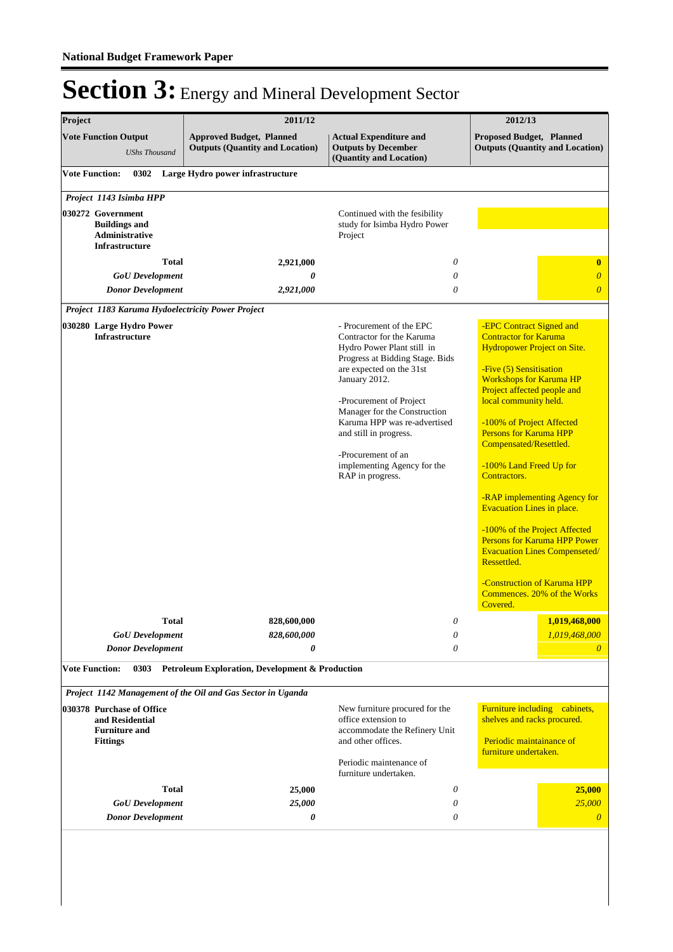| Project                                                                                 | 2011/12                                                                   |                                                                                                                                                                                                                                                                                                                                                                   | 2012/13                                                                                                                                                                                                                                                                                                                                                                                                                                                                                                                                                                                                                       |
|-----------------------------------------------------------------------------------------|---------------------------------------------------------------------------|-------------------------------------------------------------------------------------------------------------------------------------------------------------------------------------------------------------------------------------------------------------------------------------------------------------------------------------------------------------------|-------------------------------------------------------------------------------------------------------------------------------------------------------------------------------------------------------------------------------------------------------------------------------------------------------------------------------------------------------------------------------------------------------------------------------------------------------------------------------------------------------------------------------------------------------------------------------------------------------------------------------|
| <b>Vote Function Output</b><br><b>UShs Thousand</b>                                     | <b>Approved Budget, Planned</b><br><b>Outputs (Quantity and Location)</b> | <b>Actual Expenditure and</b><br><b>Outputs by December</b><br>(Quantity and Location)                                                                                                                                                                                                                                                                            | <b>Proposed Budget, Planned</b><br><b>Outputs (Quantity and Location)</b>                                                                                                                                                                                                                                                                                                                                                                                                                                                                                                                                                     |
| <b>Vote Function:</b>                                                                   | 0302 Large Hydro power infrastructure                                     |                                                                                                                                                                                                                                                                                                                                                                   |                                                                                                                                                                                                                                                                                                                                                                                                                                                                                                                                                                                                                               |
| Project 1143 Isimba HPP                                                                 |                                                                           |                                                                                                                                                                                                                                                                                                                                                                   |                                                                                                                                                                                                                                                                                                                                                                                                                                                                                                                                                                                                                               |
| 030272 Government<br><b>Buildings and</b><br>Administrative<br><b>Infrastructure</b>    |                                                                           | Continued with the fesibility<br>study for Isimba Hydro Power<br>Project                                                                                                                                                                                                                                                                                          |                                                                                                                                                                                                                                                                                                                                                                                                                                                                                                                                                                                                                               |
| <b>Total</b>                                                                            | 2,921,000                                                                 | $\theta$                                                                                                                                                                                                                                                                                                                                                          | $\bf{0}$                                                                                                                                                                                                                                                                                                                                                                                                                                                                                                                                                                                                                      |
| <b>GoU</b> Development<br><b>Donor Development</b>                                      | 0<br>2,921,000                                                            | 0<br>$\theta$                                                                                                                                                                                                                                                                                                                                                     | $\boldsymbol{\theta}$<br>$\overline{0}$                                                                                                                                                                                                                                                                                                                                                                                                                                                                                                                                                                                       |
| Project 1183 Karuma Hydoelectricity Power Project                                       |                                                                           |                                                                                                                                                                                                                                                                                                                                                                   |                                                                                                                                                                                                                                                                                                                                                                                                                                                                                                                                                                                                                               |
| 030280 Large Hydro Power<br><b>Infrastructure</b>                                       |                                                                           | - Procurement of the EPC<br>Contractor for the Karuma<br>Hydro Power Plant still in<br>Progress at Bidding Stage. Bids<br>are expected on the 31st<br>January 2012.<br>-Procurement of Project<br>Manager for the Construction<br>Karuma HPP was re-advertised<br>and still in progress.<br>-Procurement of an<br>implementing Agency for the<br>RAP in progress. | -EPC Contract Signed and<br><b>Contractor for Karuma</b><br>Hydropower Project on Site.<br>-Five (5) Sensitisation<br><b>Workshops for Karuma HP</b><br>Project affected people and<br>local community held.<br>-100% of Project Affected<br><b>Persons for Karuma HPP</b><br>Compensated/Resettled.<br>-100% Land Freed Up for<br>Contractors.<br>-RAP implementing Agency for<br><b>Evacuation Lines in place.</b><br>-100% of the Project Affected<br><b>Persons for Karuma HPP Power</b><br><b>Evacuation Lines Compenseted/</b><br>Ressettled.<br>-Construction of Karuma HPP<br>Commences. 20% of the Works<br>Covered. |
| <b>Total</b>                                                                            | 828,600,000                                                               | $\theta$                                                                                                                                                                                                                                                                                                                                                          | 1,019,468,000                                                                                                                                                                                                                                                                                                                                                                                                                                                                                                                                                                                                                 |
| <b>GoU</b> Development                                                                  | 828,600,000                                                               | 0                                                                                                                                                                                                                                                                                                                                                                 | 1,019,468,000                                                                                                                                                                                                                                                                                                                                                                                                                                                                                                                                                                                                                 |
| <b>Donor Development</b>                                                                | 0                                                                         | 0                                                                                                                                                                                                                                                                                                                                                                 | $\theta$                                                                                                                                                                                                                                                                                                                                                                                                                                                                                                                                                                                                                      |
| <b>Vote Function:</b>                                                                   | 0303 Petroleum Exploration, Development & Production                      |                                                                                                                                                                                                                                                                                                                                                                   |                                                                                                                                                                                                                                                                                                                                                                                                                                                                                                                                                                                                                               |
|                                                                                         | Project 1142 Management of the Oil and Gas Sector in Uganda               |                                                                                                                                                                                                                                                                                                                                                                   |                                                                                                                                                                                                                                                                                                                                                                                                                                                                                                                                                                                                                               |
| 030378 Purchase of Office<br>and Residential<br><b>Furniture and</b><br><b>Fittings</b> |                                                                           | New furniture procured for the<br>office extension to<br>accommodate the Refinery Unit<br>and other offices.<br>Periodic maintenance of<br>furniture undertaken.                                                                                                                                                                                                  | Furniture including cabinets,<br>shelves and racks procured.<br>Periodic maintainance of<br>furniture undertaken.                                                                                                                                                                                                                                                                                                                                                                                                                                                                                                             |
| <b>Total</b>                                                                            | 25,000                                                                    | 0                                                                                                                                                                                                                                                                                                                                                                 | 25,000                                                                                                                                                                                                                                                                                                                                                                                                                                                                                                                                                                                                                        |
| <b>GoU</b> Development<br><b>Donor Development</b>                                      | 25,000<br>0                                                               | 0<br>0                                                                                                                                                                                                                                                                                                                                                            | 25,000<br>$\boldsymbol{\theta}$                                                                                                                                                                                                                                                                                                                                                                                                                                                                                                                                                                                               |
|                                                                                         |                                                                           |                                                                                                                                                                                                                                                                                                                                                                   |                                                                                                                                                                                                                                                                                                                                                                                                                                                                                                                                                                                                                               |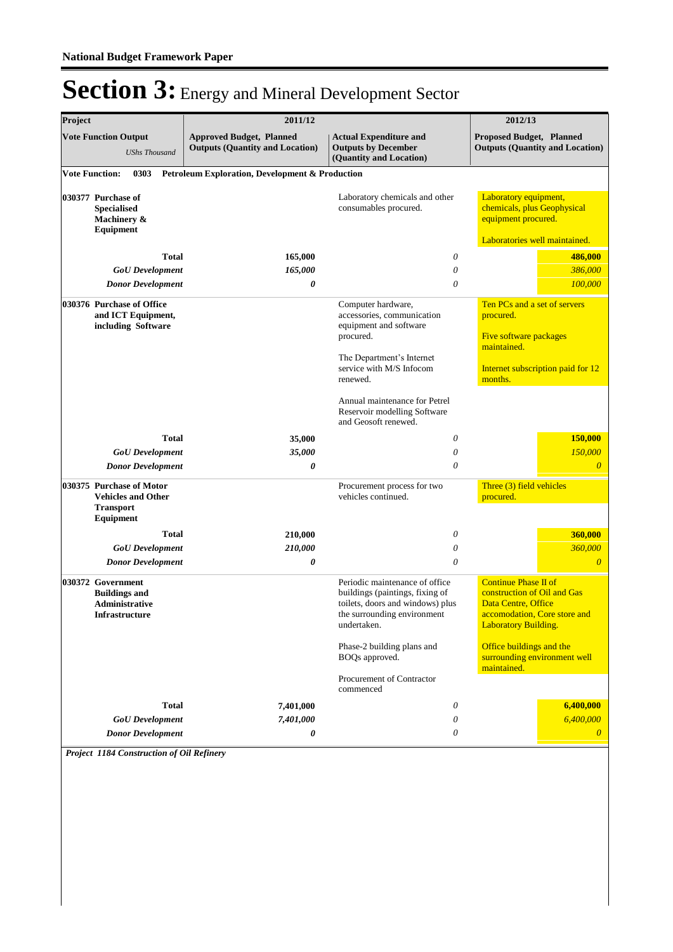| Project |                                                                                        |              | 2011/12                                                                   |                                                                                                                                                     | 2012/13                                                                                                          |                                        |
|---------|----------------------------------------------------------------------------------------|--------------|---------------------------------------------------------------------------|-----------------------------------------------------------------------------------------------------------------------------------------------------|------------------------------------------------------------------------------------------------------------------|----------------------------------------|
|         | <b>Vote Function Output</b><br><b>UShs Thousand</b>                                    |              | <b>Approved Budget, Planned</b><br><b>Outputs (Quantity and Location)</b> | <b>Actual Expenditure and</b><br><b>Outputs by December</b><br>(Quantity and Location)                                                              | Proposed Budget, Planned                                                                                         | <b>Outputs (Quantity and Location)</b> |
|         | <b>Vote Function:</b><br>0303                                                          |              | Petroleum Exploration, Development & Production                           |                                                                                                                                                     |                                                                                                                  |                                        |
|         | 030377 Purchase of<br><b>Specialised</b><br>Machinery &<br>Equipment                   |              |                                                                           | Laboratory chemicals and other<br>consumables procured.                                                                                             | Laboratory equipment,<br>chemicals, plus Geophysical<br>equipment procured.                                      |                                        |
|         |                                                                                        |              |                                                                           |                                                                                                                                                     | Laboratories well maintained.                                                                                    |                                        |
|         |                                                                                        | <b>Total</b> | 165,000                                                                   | 0                                                                                                                                                   |                                                                                                                  | 486,000                                |
|         | <b>GoU</b> Development                                                                 |              | 165,000                                                                   | $\theta$                                                                                                                                            |                                                                                                                  | 386,000                                |
|         | <b>Donor Development</b>                                                               |              | 0                                                                         | $\theta$                                                                                                                                            |                                                                                                                  | 100,000                                |
|         | 030376 Purchase of Office<br>and ICT Equipment,<br>including Software                  |              |                                                                           | Computer hardware,<br>accessories, communication<br>equipment and software                                                                          | Ten PCs and a set of servers<br>procured.                                                                        |                                        |
|         |                                                                                        |              |                                                                           | procured.                                                                                                                                           | Five software packages<br>maintained.                                                                            |                                        |
|         |                                                                                        |              |                                                                           | The Department's Internet<br>service with M/S Infocom<br>renewed.                                                                                   | Internet subscription paid for 12<br>months.                                                                     |                                        |
|         |                                                                                        |              |                                                                           | Annual maintenance for Petrel<br>Reservoir modelling Software<br>and Geosoft renewed.                                                               |                                                                                                                  |                                        |
|         |                                                                                        | <b>Total</b> | 35,000                                                                    | 0                                                                                                                                                   |                                                                                                                  | 150,000                                |
|         | <b>GoU</b> Development                                                                 |              | 35,000                                                                    | 0                                                                                                                                                   |                                                                                                                  | 150,000                                |
|         | <b>Donor Development</b>                                                               |              | 0                                                                         | $\theta$                                                                                                                                            |                                                                                                                  | $\overline{0}$                         |
|         | 030375 Purchase of Motor<br><b>Vehicles and Other</b><br><b>Transport</b><br>Equipment |              |                                                                           | Procurement process for two<br>vehicles continued.                                                                                                  | Three (3) field vehicles<br>procured.                                                                            |                                        |
|         |                                                                                        | <b>Total</b> | 210,000                                                                   | $\theta$                                                                                                                                            |                                                                                                                  | 360,000                                |
|         | <b>GoU</b> Development                                                                 |              | 210,000                                                                   | $\theta$                                                                                                                                            |                                                                                                                  | 360,000                                |
|         | <b>Donor Development</b>                                                               |              | 0                                                                         | $\theta$                                                                                                                                            |                                                                                                                  | $\theta$                               |
|         | 030372 Government<br><b>Buildings and</b><br><b>Administrative</b><br>Infrastructure   |              |                                                                           | Periodic maintenance of office<br>buildings (paintings, fixing of<br>toilets, doors and windows) plus<br>the surrounding environment<br>undertaken. | <b>Continue Phase II of</b><br>construction of Oil and Gas<br>Data Centre, Office<br><b>Laboratory Building.</b> | accomodation, Core store and           |
|         |                                                                                        |              |                                                                           | Phase-2 building plans and<br>BOQs approved.                                                                                                        | Office buildings and the<br>maintained.                                                                          | surrounding environment well           |
|         |                                                                                        |              |                                                                           | Procurement of Contractor<br>commenced                                                                                                              |                                                                                                                  |                                        |
|         |                                                                                        | <b>Total</b> | 7,401,000                                                                 | 0                                                                                                                                                   |                                                                                                                  | 6,400,000                              |
|         | <b>GoU</b> Development                                                                 |              | 7,401,000                                                                 | 0                                                                                                                                                   |                                                                                                                  | 6,400,000                              |
|         | <b>Donor Development</b>                                                               |              | 0                                                                         | 0                                                                                                                                                   |                                                                                                                  | $\theta$                               |

*Project 1184 Construction of Oil Refinery*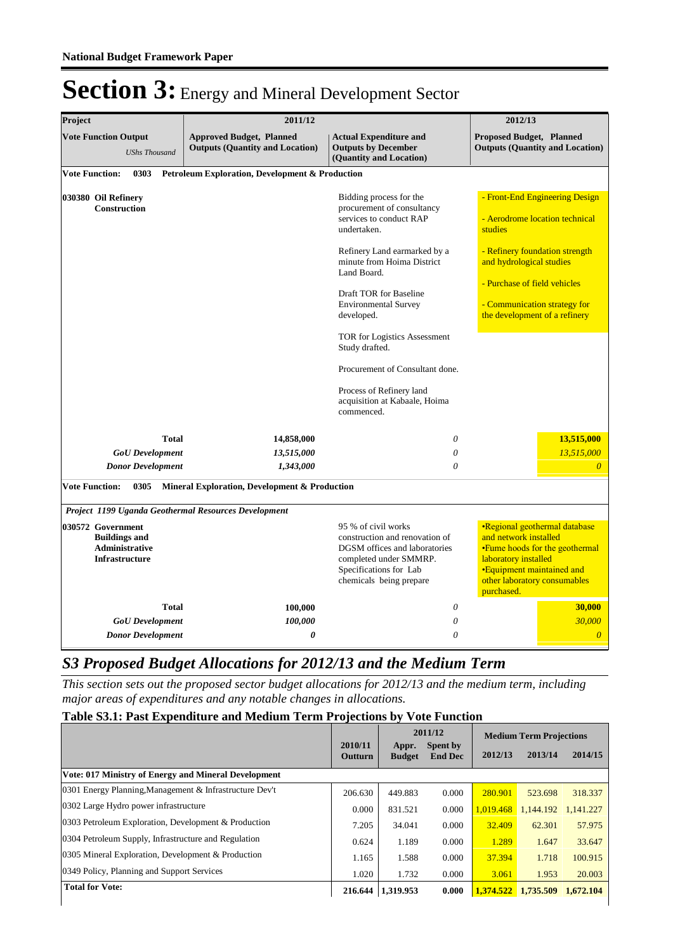| Project                                                                                     | 2011/12                                                                   |                                                                                                                                                                                                                                                                                                                                                                                                                     |                                                                                                                                                                                                                                            | 2012/13                                                                 |  |  |  |  |  |  |  |
|---------------------------------------------------------------------------------------------|---------------------------------------------------------------------------|---------------------------------------------------------------------------------------------------------------------------------------------------------------------------------------------------------------------------------------------------------------------------------------------------------------------------------------------------------------------------------------------------------------------|--------------------------------------------------------------------------------------------------------------------------------------------------------------------------------------------------------------------------------------------|-------------------------------------------------------------------------|--|--|--|--|--|--|--|
| <b>Vote Function Output</b><br><b>UShs Thousand</b>                                         | <b>Approved Budget, Planned</b><br><b>Outputs (Quantity and Location)</b> | <b>Actual Expenditure and</b><br><b>Outputs by December</b><br>(Quantity and Location)                                                                                                                                                                                                                                                                                                                              | <b>Proposed Budget, Planned</b>                                                                                                                                                                                                            | <b>Outputs (Quantity and Location)</b>                                  |  |  |  |  |  |  |  |
| <b>Vote Function:</b><br>0303                                                               | <b>Petroleum Exploration, Development &amp; Production</b>                |                                                                                                                                                                                                                                                                                                                                                                                                                     |                                                                                                                                                                                                                                            |                                                                         |  |  |  |  |  |  |  |
| 030380 Oil Refinery<br><b>Construction</b>                                                  |                                                                           | Bidding process for the<br>procurement of consultancy<br>services to conduct RAP<br>undertaken.<br>Refinery Land earmarked by a<br>minute from Hoima District<br>Land Board.<br>Draft TOR for Baseline<br><b>Environmental Survey</b><br>developed.<br>TOR for Logistics Assessment<br>Study drafted.<br>Procurement of Consultant done.<br>Process of Refinery land<br>acquisition at Kabaale, Hoima<br>commenced. | - Front-End Engineering Design<br>- Aerodrome location technical<br>studies<br>- Refinery foundation strength<br>and hydrological studies<br>- Purchase of field vehicles<br>- Communication strategy for<br>the development of a refinery |                                                                         |  |  |  |  |  |  |  |
| <b>Total</b>                                                                                | 14,858,000                                                                | $\theta$                                                                                                                                                                                                                                                                                                                                                                                                            |                                                                                                                                                                                                                                            | 13,515,000                                                              |  |  |  |  |  |  |  |
| <b>GoU</b> Development                                                                      | 13,515,000                                                                | $\theta$                                                                                                                                                                                                                                                                                                                                                                                                            |                                                                                                                                                                                                                                            | 13,515,000                                                              |  |  |  |  |  |  |  |
| <b>Donor Development</b>                                                                    | 1,343,000                                                                 | $\theta$                                                                                                                                                                                                                                                                                                                                                                                                            |                                                                                                                                                                                                                                            |                                                                         |  |  |  |  |  |  |  |
| <b>Vote Function:</b><br>0305                                                               | Mineral Exploration, Development & Production                             |                                                                                                                                                                                                                                                                                                                                                                                                                     |                                                                                                                                                                                                                                            |                                                                         |  |  |  |  |  |  |  |
| Project 1199 Uganda Geothermal Resources Development                                        |                                                                           |                                                                                                                                                                                                                                                                                                                                                                                                                     |                                                                                                                                                                                                                                            |                                                                         |  |  |  |  |  |  |  |
| 030572 Government<br><b>Buildings and</b><br><b>Administrative</b><br><b>Infrastructure</b> |                                                                           | 95 % of civil works<br>construction and renovation of<br>DGSM offices and laboratories<br>completed under SMMRP.<br>Specifications for Lab<br>chemicals being prepare                                                                                                                                                                                                                                               | and network installed<br>laboratory installed<br>•Equipment maintained and<br>other laboratory consumables<br>purchased.                                                                                                                   | <b>·Regional geothermal database</b><br>• Fume hoods for the geothermal |  |  |  |  |  |  |  |
| <b>Total</b>                                                                                | 100,000                                                                   | $\theta$                                                                                                                                                                                                                                                                                                                                                                                                            |                                                                                                                                                                                                                                            | 30,000                                                                  |  |  |  |  |  |  |  |
| <b>GoU</b> Development                                                                      | 100,000                                                                   | $\theta$                                                                                                                                                                                                                                                                                                                                                                                                            |                                                                                                                                                                                                                                            | 30,000                                                                  |  |  |  |  |  |  |  |
| <b>Donor Development</b>                                                                    | 0                                                                         | $\theta$                                                                                                                                                                                                                                                                                                                                                                                                            |                                                                                                                                                                                                                                            | $\overline{0}$                                                          |  |  |  |  |  |  |  |

### *S3 Proposed Budget Allocations for 2012/13 and the Medium Term*

*This section sets out the proposed sector budget allocations for 2012/13 and the medium term, including major areas of expenditures and any notable changes in allocations.* 

#### **Table S3.1: Past Expenditure and Medium Term Projections by Vote Function**

|                                                             |                    |                        | 2011/12                    | <b>Medium Term Projections</b> |           |           |  |
|-------------------------------------------------------------|--------------------|------------------------|----------------------------|--------------------------------|-----------|-----------|--|
|                                                             | 2010/11<br>Outturn | Appr.<br><b>Budget</b> | Spent by<br><b>End Dec</b> | 2012/13                        | 2013/14   | 2014/15   |  |
| <b>Vote: 017 Ministry of Energy and Mineral Development</b> |                    |                        |                            |                                |           |           |  |
| 0301 Energy Planning, Management & Infrastructure Dev't     | 206.630            | 449.883                | 0.000                      | 280.901                        | 523.698   | 318.337   |  |
| 0302 Large Hydro power infrastructure                       | 0.000              | 831.521                | 0.000                      | 1.019.468                      | 1.144.192 | 1.141.227 |  |
| 0303 Petroleum Exploration, Development & Production        | 7.205              | 34.041                 | 0.000                      | 32.409                         | 62.301    | 57.975    |  |
| 0304 Petroleum Supply, Infrastructure and Regulation        | 0.624              | 1.189                  | 0.000                      | 1.289                          | 1.647     | 33.647    |  |
| 0305 Mineral Exploration, Development & Production          | 1.165              | 1.588                  | 0.000                      | 37.394                         | 1.718     | 100.915   |  |
| 0349 Policy, Planning and Support Services                  | 1.020              | 1.732                  | 0.000                      | 3.061                          | 1.953     | 20.003    |  |
| <b>Total for Vote:</b>                                      | 216.644            | 1,319.953              | 0.000                      | 1,374.522 1,735.509            |           | 1,672,104 |  |
|                                                             |                    |                        |                            |                                |           |           |  |